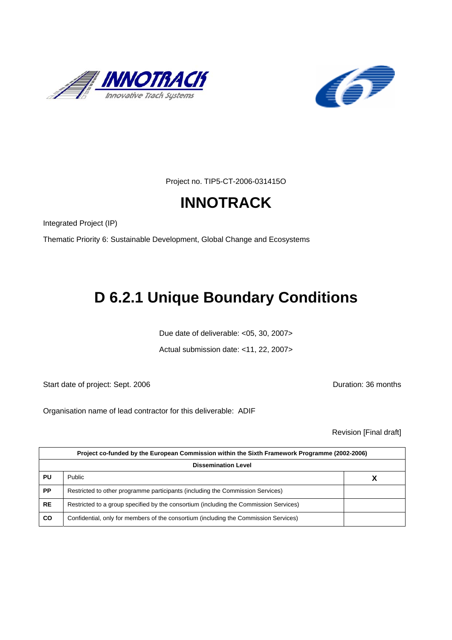



Project no. TIP5-CT-2006-031415O

# **INNOTRACK**

Integrated Project (IP)

Thematic Priority 6: Sustainable Development, Global Change and Ecosystems

# **D 6.2.1 Unique Boundary Conditions**

Due date of deliverable: <05, 30, 2007>

Actual submission date: <11, 22, 2007>

Start date of project: Sept. 2006 **Duration: 36 months** 

Organisation name of lead contractor for this deliverable: ADIF

Revision [Final draft]

|           | Project co-funded by the European Commission within the Sixth Framework Programme (2002-2006) |  |  |  |  |  |
|-----------|-----------------------------------------------------------------------------------------------|--|--|--|--|--|
|           | <b>Dissemination Level</b>                                                                    |  |  |  |  |  |
| PU        | <b>Public</b>                                                                                 |  |  |  |  |  |
| <b>PP</b> | Restricted to other programme participants (including the Commission Services)                |  |  |  |  |  |
| <b>RE</b> | Restricted to a group specified by the consortium (including the Commission Services)         |  |  |  |  |  |
| CO        | Confidential, only for members of the consortium (including the Commission Services)          |  |  |  |  |  |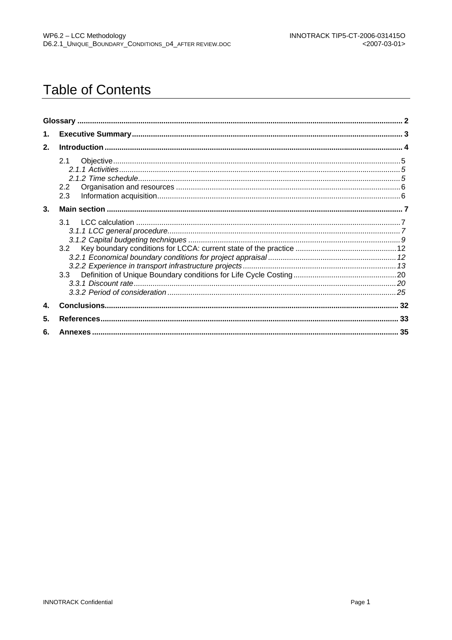# **Table of Contents**

| 1. |                   |  |
|----|-------------------|--|
| 2. |                   |  |
|    | 2.1<br>2.2<br>2.3 |  |
| 3. |                   |  |
|    | 31<br>3.2<br>3.3  |  |
| 4. |                   |  |
| 5. |                   |  |
| 6. |                   |  |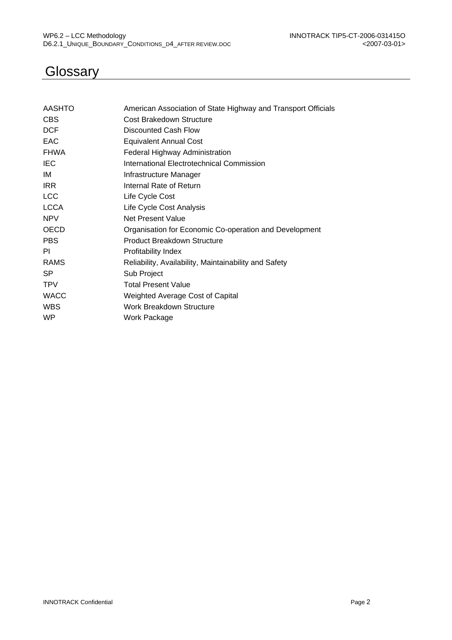# **Glossary**

| AASHTO      | American Association of State Highway and Transport Officials |
|-------------|---------------------------------------------------------------|
| <b>CBS</b>  | Cost Brakedown Structure                                      |
| <b>DCF</b>  | <b>Discounted Cash Flow</b>                                   |
| EAC         | <b>Equivalent Annual Cost</b>                                 |
| <b>FHWA</b> | Federal Highway Administration                                |
| <b>IEC</b>  | International Electrotechnical Commission                     |
| IM          | Infrastructure Manager                                        |
| <b>IRR</b>  | Internal Rate of Return                                       |
| <b>LCC</b>  | Life Cycle Cost                                               |
| <b>LCCA</b> | Life Cycle Cost Analysis                                      |
| <b>NPV</b>  | Net Present Value                                             |
| <b>OECD</b> | Organisation for Economic Co-operation and Development        |
| <b>PBS</b>  | Product Breakdown Structure                                   |
| PI          | Profitability Index                                           |
| <b>RAMS</b> | Reliability, Availability, Maintainability and Safety         |
| <b>SP</b>   | Sub Project                                                   |
| <b>TPV</b>  | <b>Total Present Value</b>                                    |
| <b>WACC</b> | Weighted Average Cost of Capital                              |
| <b>WBS</b>  | Work Breakdown Structure                                      |
| <b>WP</b>   | Work Package                                                  |
|             |                                                               |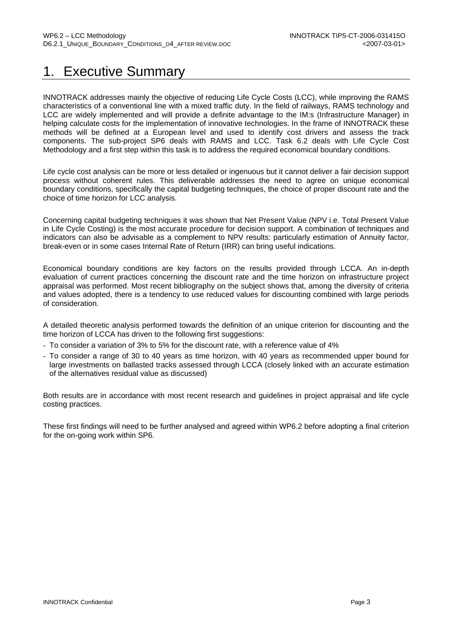# 1. Executive Summary

INNOTRACK addresses mainly the objective of reducing Life Cycle Costs (LCC), while improving the RAMS characteristics of a conventional line with a mixed traffic duty. In the field of railways, RAMS technology and LCC are widely implemented and will provide a definite advantage to the IM:s (Infrastructure Manager) in helping calculate costs for the implementation of innovative technologies. In the frame of INNOTRACK these methods will be defined at a European level and used to identify cost drivers and assess the track components. The sub-project SP6 deals with RAMS and LCC. Task 6.2 deals with Life Cycle Cost Methodology and a first step within this task is to address the required economical boundary conditions.

Life cycle cost analysis can be more or less detailed or ingenuous but it cannot deliver a fair decision support process without coherent rules. This deliverable addresses the need to agree on unique economical boundary conditions, specifically the capital budgeting techniques, the choice of proper discount rate and the choice of time horizon for LCC analysis.

Concerning capital budgeting techniques it was shown that Net Present Value (NPV i.e. Total Present Value in Life Cycle Costing) is the most accurate procedure for decision support. A combination of techniques and indicators can also be advisable as a complement to NPV results: particularly estimation of Annuity factor, break-even or in some cases Internal Rate of Return (IRR) can bring useful indications.

Economical boundary conditions are key factors on the results provided through LCCA. An in-depth evaluation of current practices concerning the discount rate and the time horizon on infrastructure project appraisal was performed. Most recent bibliography on the subject shows that, among the diversity of criteria and values adopted, there is a tendency to use reduced values for discounting combined with large periods of consideration.

A detailed theoretic analysis performed towards the definition of an unique criterion for discounting and the time horizon of LCCA has driven to the following first suggestions:

- To consider a variation of 3% to 5% for the discount rate, with a reference value of 4%
- To consider a range of 30 to 40 years as time horizon, with 40 years as recommended upper bound for large investments on ballasted tracks assessed through LCCA (closely linked with an accurate estimation of the alternatives residual value as discussed)

Both results are in accordance with most recent research and guidelines in project appraisal and life cycle costing practices.

These first findings will need to be further analysed and agreed within WP6.2 before adopting a final criterion for the on-going work within SP6.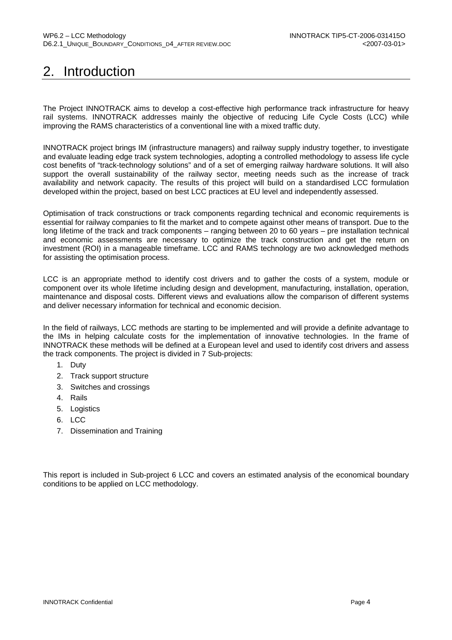# 2. Introduction

The Project INNOTRACK aims to develop a cost-effective high performance track infrastructure for heavy rail systems. INNOTRACK addresses mainly the objective of reducing Life Cycle Costs (LCC) while improving the RAMS characteristics of a conventional line with a mixed traffic duty.

INNOTRACK project brings IM (infrastructure managers) and railway supply industry together, to investigate and evaluate leading edge track system technologies, adopting a controlled methodology to assess life cycle cost benefits of "track-technology solutions" and of a set of emerging railway hardware solutions. It will also support the overall sustainability of the railway sector, meeting needs such as the increase of track availability and network capacity. The results of this project will build on a standardised LCC formulation developed within the project, based on best LCC practices at EU level and independently assessed.

Optimisation of track constructions or track components regarding technical and economic requirements is essential for railway companies to fit the market and to compete against other means of transport. Due to the long lifetime of the track and track components – ranging between 20 to 60 years – pre installation technical and economic assessments are necessary to optimize the track construction and get the return on investment (ROI) in a manageable timeframe. LCC and RAMS technology are two acknowledged methods for assisting the optimisation process.

LCC is an appropriate method to identify cost drivers and to gather the costs of a system, module or component over its whole lifetime including design and development, manufacturing, installation, operation, maintenance and disposal costs. Different views and evaluations allow the comparison of different systems and deliver necessary information for technical and economic decision.

In the field of railways, LCC methods are starting to be implemented and will provide a definite advantage to the IMs in helping calculate costs for the implementation of innovative technologies. In the frame of INNOTRACK these methods will be defined at a European level and used to identify cost drivers and assess the track components. The project is divided in 7 Sub-projects:

- 1. Duty
- 2. Track support structure
- 3. Switches and crossings
- 4. Rails
- 5. Logistics
- 6. LCC
- 7. Dissemination and Training

This report is included in Sub-project 6 LCC and covers an estimated analysis of the economical boundary conditions to be applied on LCC methodology.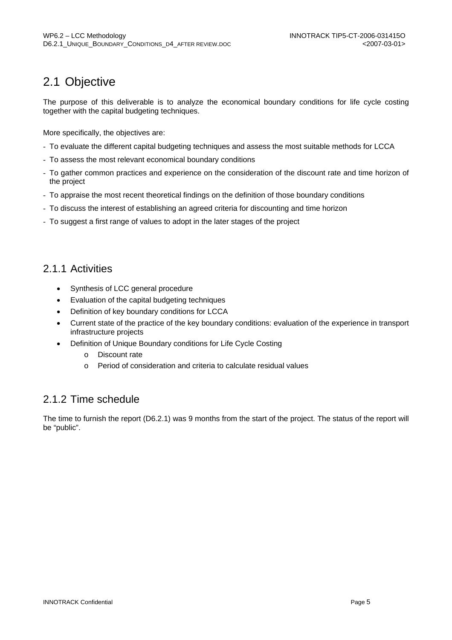## 2.1 Objective

The purpose of this deliverable is to analyze the economical boundary conditions for life cycle costing together with the capital budgeting techniques.

More specifically, the objectives are:

- To evaluate the different capital budgeting techniques and assess the most suitable methods for LCCA
- To assess the most relevant economical boundary conditions
- To gather common practices and experience on the consideration of the discount rate and time horizon of the project
- To appraise the most recent theoretical findings on the definition of those boundary conditions
- To discuss the interest of establishing an agreed criteria for discounting and time horizon
- To suggest a first range of values to adopt in the later stages of the project

#### 2.1.1 Activities

- Synthesis of LCC general procedure
- Evaluation of the capital budgeting techniques
- Definition of key boundary conditions for LCCA
- Current state of the practice of the key boundary conditions: evaluation of the experience in transport infrastructure projects
- Definition of Unique Boundary conditions for Life Cycle Costing
	- o Discount rate
	- o Period of consideration and criteria to calculate residual values

#### 2.1.2 Time schedule

The time to furnish the report (D6.2.1) was 9 months from the start of the project. The status of the report will be "public".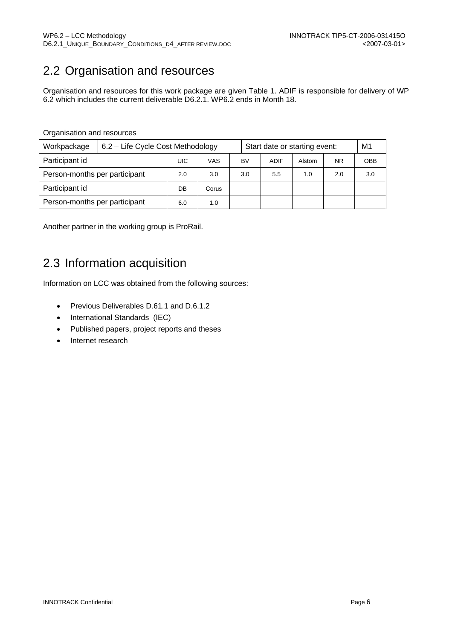# 2.2 Organisation and resources

Organisation and resources for this work package are given Table 1. ADIF is responsible for delivery of WP 6.2 which includes the current deliverable D6.2.1. WP6.2 ends in Month 18.

#### Organisation and resources

| Workpackage                   | 6.2 – Life Cycle Cost Methodology |     |       | Start date or starting event: |      |        | M <sub>1</sub> |     |
|-------------------------------|-----------------------------------|-----|-------|-------------------------------|------|--------|----------------|-----|
| Participant id                |                                   | UIC | VAS   | BV                            | ADIF | Alstom | <b>NR</b>      | OBB |
| Person-months per participant | 2.0                               | 3.0 | 3.0   | 5.5                           | 1.0  | 2.0    | 3.0            |     |
| Participant id                |                                   | DB  | Corus |                               |      |        |                |     |
| Person-months per participant |                                   | 6.0 | 1.0   |                               |      |        |                |     |

Another partner in the working group is ProRail.

## 2.3 Information acquisition

Information on LCC was obtained from the following sources:

- Previous Deliverables D.61.1 and D.6.1.2
- International Standards (IEC)
- Published papers, project reports and theses
- Internet research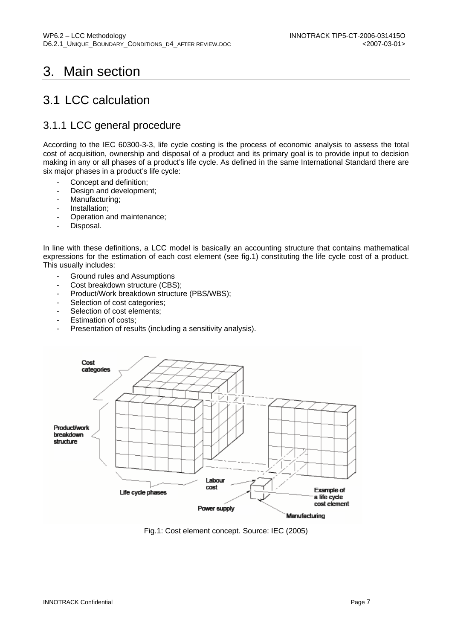# 3. Main section

### 3.1 LCC calculation

### 3.1.1 LCC general procedure

According to the IEC 60300-3-3, life cycle costing is the process of economic analysis to assess the total cost of acquisition, ownership and disposal of a product and its primary goal is to provide input to decision making in any or all phases of a product's life cycle. As defined in the same International Standard there are six major phases in a product's life cycle:

- Concept and definition;
- Design and development;
- Manufacturing;
- Installation;
- Operation and maintenance;
- Disposal.

In line with these definitions, a LCC model is basically an accounting structure that contains mathematical expressions for the estimation of each cost element (see fig.1) constituting the life cycle cost of a product. This usually includes:

- Ground rules and Assumptions
- Cost breakdown structure (CBS);
- Product/Work breakdown structure (PBS/WBS);
- Selection of cost categories;
- Selection of cost elements;
- Estimation of costs;
- Presentation of results (including a sensitivity analysis).



Fig.1: Cost element concept. Source: IEC (2005)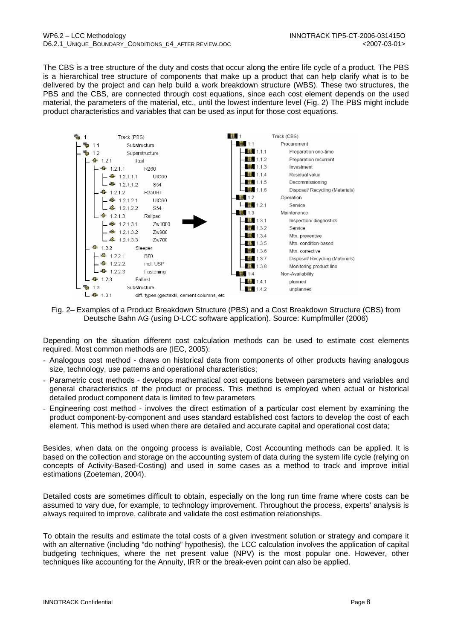The CBS is a tree structure of the duty and costs that occur along the entire life cycle of a product. The PBS is a hierarchical tree structure of components that make up a product that can help clarify what is to be delivered by the project and can help build a work breakdown structure (WBS). These two structures, the PBS and the CBS, are connected through cost equations, since each cost element depends on the used material, the parameters of the material, etc., until the lowest indenture level (Fig. 2) The PBS might include product characteristics and variables that can be used as input for those cost equations.



Fig. 2– Examples of a Product Breakdown Structure (PBS) and a Cost Breakdown Structure (CBS) from Deutsche Bahn AG (using D-LCC software application). Source: Kumpfmüller (2006)

Depending on the situation different cost calculation methods can be used to estimate cost elements required. Most common methods are (IEC, 2005):

- Analogous cost method draws on historical data from components of other products having analogous size, technology, use patterns and operational characteristics;
- Parametric cost methods develops mathematical cost equations between parameters and variables and general characteristics of the product or process. This method is employed when actual or historical detailed product component data is limited to few parameters
- Engineering cost method involves the direct estimation of a particular cost element by examining the product component-by-component and uses standard established cost factors to develop the cost of each element. This method is used when there are detailed and accurate capital and operational cost data;

Besides, when data on the ongoing process is available, Cost Accounting methods can be applied. It is based on the collection and storage on the accounting system of data during the system life cycle (relying on concepts of Activity-Based-Costing) and used in some cases as a method to track and improve initial estimations (Zoeteman, 2004).

Detailed costs are sometimes difficult to obtain, especially on the long run time frame where costs can be assumed to vary due, for example, to technology improvement. Throughout the process, experts' analysis is always required to improve, calibrate and validate the cost estimation relationships.

To obtain the results and estimate the total costs of a given investment solution or strategy and compare it with an alternative (including "do nothing" hypothesis), the LCC calculation involves the application of capital budgeting techniques, where the net present value (NPV) is the most popular one. However, other techniques like accounting for the Annuity, IRR or the break-even point can also be applied.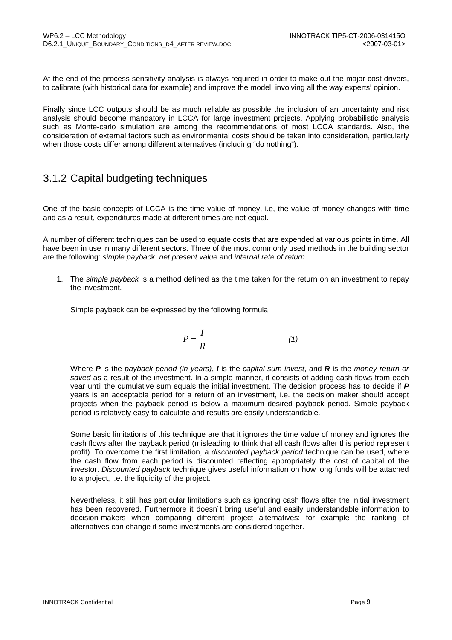At the end of the process sensitivity analysis is always required in order to make out the major cost drivers, to calibrate (with historical data for example) and improve the model, involving all the way experts' opinion.

Finally since LCC outputs should be as much reliable as possible the inclusion of an uncertainty and risk analysis should become mandatory in LCCA for large investment projects. Applying probabilistic analysis such as Monte-carlo simulation are among the recommendations of most LCCA standards. Also, the consideration of external factors such as environmental costs should be taken into consideration, particularly when those costs differ among different alternatives (including "do nothing").

### 3.1.2 Capital budgeting techniques

One of the basic concepts of LCCA is the time value of money, i.e, the value of money changes with time and as a result, expenditures made at different times are not equal.

A number of different techniques can be used to equate costs that are expended at various points in time. All have been in use in many different sectors. Three of the most commonly used methods in the building sector are the following: *simple paybac*k, *net present value* and *internal rate of return*.

1. The *simple payback* is a method defined as the time taken for the return on an investment to repay the investment.

Simple payback can be expressed by the following formula:

$$
P = \frac{I}{R} \tag{1}
$$

Where *P* is the *payback period (in years)*, *I* is the *capital sum invest*, and *R* is the *money return or saved* as a result of the investment. In a simple manner, it consists of adding cash flows from each year until the cumulative sum equals the initial investment. The decision process has to decide if *P* years is an acceptable period for a return of an investment, i.e. the decision maker should accept projects when the payback period is below a maximum desired payback period. Simple payback period is relatively easy to calculate and results are easily understandable.

Some basic limitations of this technique are that it ignores the time value of money and ignores the cash flows after the payback period (misleading to think that all cash flows after this period represent profit). To overcome the first limitation, a *discounted payback period* technique can be used, where the cash flow from each period is discounted reflecting appropriately the cost of capital of the investor. *Discounted payback* technique gives useful information on how long funds will be attached to a project, i.e. the liquidity of the project.

Nevertheless, it still has particular limitations such as ignoring cash flows after the initial investment has been recovered. Furthermore it doesn´t bring useful and easily understandable information to decision-makers when comparing different project alternatives: for example the ranking of alternatives can change if some investments are considered together.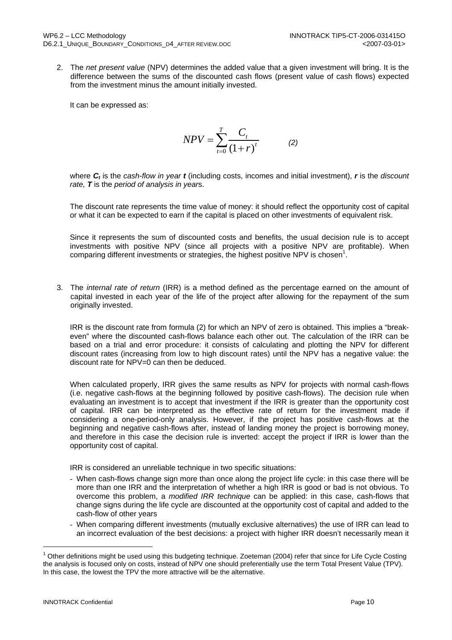2. The *net present value* (NPV) determines the added value that a given investment will bring. It is the difference between the sums of the discounted cash flows (present value of cash flows) expected from the investment minus the amount initially invested.

It can be expressed as:

$$
NPV = \sum_{t=0}^{T} \frac{C_t}{(1+r)^t}
$$
 (2)

where *Ct* is the *cash-flow in year t* (including costs, incomes and initial investment), *r* is the *discount rate, T* is the *period of analysis in year*s.

The discount rate represents the time value of money: it should reflect the opportunity cost of capital or what it can be expected to earn if the capital is placed on other investments of equivalent risk.

Since it represents the sum of discounted costs and benefits, the usual decision rule is to accept investments with positive NPV (since all projects with a positive NPV are profitable). When comparing different investments or strategies, the highest positive NPV is chosen<sup>1</sup>.

3. The *internal rate of return* (IRR) is a method defined as the percentage earned on the amount of capital invested in each year of the life of the project after allowing for the repayment of the sum originally invested.

IRR is the discount rate from formula (2) for which an NPV of zero is obtained. This implies a "breakeven" where the discounted cash-flows balance each other out. The calculation of the IRR can be based on a trial and error procedure: it consists of calculating and plotting the NPV for different discount rates (increasing from low to high discount rates) until the NPV has a negative value: the discount rate for NPV=0 can then be deduced.

When calculated properly, IRR gives the same results as NPV for projects with normal cash-flows (i.e. negative cash-flows at the beginning followed by positive cash-flows). The decision rule when evaluating an investment is to accept that investment if the IRR is greater than the opportunity cost of capital. IRR can be interpreted as the effective rate of return for the investment made if considering a one-period-only analysis. However, if the project has positive cash-flows at the beginning and negative cash-flows after, instead of landing money the project is borrowing money, and therefore in this case the decision rule is inverted: accept the project if IRR is lower than the opportunity cost of capital.

IRR is considered an unreliable technique in two specific situations:

- When cash-flows change sign more than once along the project life cycle: in this case there will be more than one IRR and the interpretation of whether a high IRR is good or bad is not obvious. To overcome this problem, a *modified IRR technique* can be applied: in this case, cash-flows that change signs during the life cycle are discounted at the opportunity cost of capital and added to the cash-flow of other years
- When comparing different investments (mutually exclusive alternatives) the use of IRR can lead to an incorrect evaluation of the best decisions: a project with higher IRR doesn't necessarily mean it

<sup>1</sup> Other definitions might be used using this budgeting technique. Zoeteman (2004) refer that since for Life Cycle Costing the analysis is focused only on costs, instead of NPV one should preferentially use the term Total Present Value (TPV). In this case, the lowest the TPV the more attractive will be the alternative.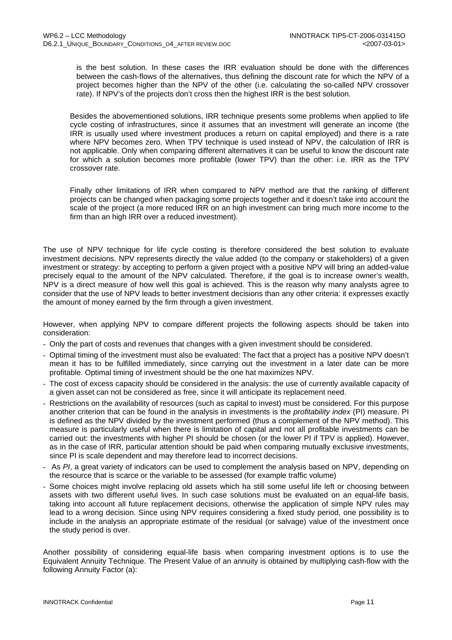is the best solution. In these cases the IRR evaluation should be done with the differences between the cash-flows of the alternatives, thus defining the discount rate for which the NPV of a project becomes higher than the NPV of the other (i.e. calculating the so-called NPV crossover rate). If NPV's of the projects don't cross then the highest IRR is the best solution.

Besides the abovementioned solutions, IRR technique presents some problems when applied to life cycle costing of infrastructures, since it assumes that an investment will generate an income (the IRR is usually used where investment produces a return on capital employed) and there is a rate where NPV becomes zero. When TPV technique is used instead of NPV, the calculation of IRR is not applicable. Only when comparing different alternatives it can be useful to know the discount rate for which a solution becomes more profitable (lower TPV) than the other: i.e. IRR as the TPV crossover rate.

Finally other limitations of IRR when compared to NPV method are that the ranking of different projects can be changed when packaging some projects together and it doesn't take into account the scale of the project (a more reduced IRR on an high investment can bring much more income to the firm than an high IRR over a reduced investment).

The use of NPV technique for life cycle costing is therefore considered the best solution to evaluate investment decisions. NPV represents directly the value added (to the company or stakeholders) of a given investment or strategy: by accepting to perform a given project with a positive NPV will bring an added-value precisely equal to the amount of the NPV calculated. Therefore, if the goal is to increase owner's wealth, NPV is a direct measure of how well this goal is achieved. This is the reason why many analysts agree to consider that the use of NPV leads to better investment decisions than any other criteria: it expresses exactly the amount of money earned by the firm through a given investment.

However, when applying NPV to compare different projects the following aspects should be taken into consideration:

- Only the part of costs and revenues that changes with a given investment should be considered.
- Optimal timing of the investment must also be evaluated: The fact that a project has a positive NPV doesn't mean it has to be fulfilled immediately, since carrying out the investment in a later date can be more profitable. Optimal timing of investment should be the one hat maximizes NPV.
- The cost of excess capacity should be considered in the analysis: the use of currently available capacity of a given asset can not be considered as free, since it will anticipate its replacement need.
- Restrictions on the availability of resources (such as capital to invest) must be considered. For this purpose another criterion that can be found in the analysis in investments is the *profitability index* (PI) measure. PI is defined as the NPV divided by the investment performed (thus a complement of the NPV method). This measure is particularly useful when there is limitation of capital and not all profitable investments can be carried out: the investments with higher PI should be chosen (or the lower PI if TPV is applied). However, as in the case of IRR, particular attention should be paid when comparing mutually exclusive investments, since PI is scale dependent and may therefore lead to incorrect decisions.
- As *PI*, a great variety of indicators can be used to complement the analysis based on NPV, depending on the resource that is scarce or the variable to be assessed (for example traffic volume)
- Some choices might involve replacing old assets which ha still some useful life left or choosing between assets with two different useful lives. In such case solutions must be evaluated on an equal-life basis, taking into account all future replacement decisions, otherwise the application of simple NPV rules may lead to a wrong decision. Since using NPV requires considering a fixed study period, one possibility is to include in the analysis an appropriate estimate of the residual (or salvage) value of the investment once the study period is over.

Another possibility of considering equal-life basis when comparing investment options is to use the Equivalent Annuity Technique. The Present Value of an annuity is obtained by multiplying cash-flow with the following Annuity Factor (a):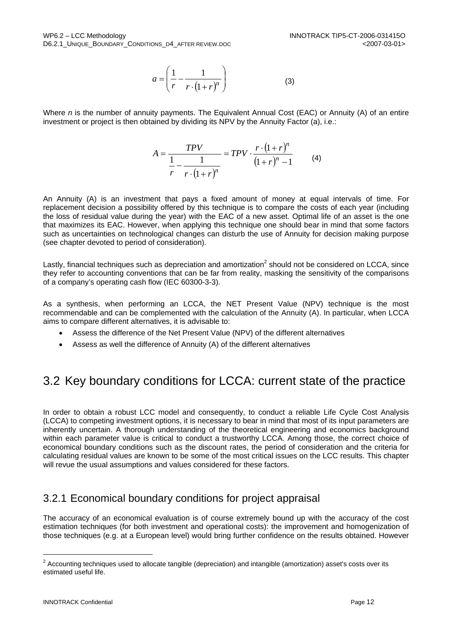$$
a = \left(\frac{1}{r} - \frac{1}{r \cdot (1+r)^n}\right) \tag{3}
$$

Where *n* is the number of annuity payments. The Equivalent Annual Cost (EAC) or Annuity (A) of an entire investment or project is then obtained by dividing its NPV by the Annuity Factor (a), i.e.:

$$
A = \frac{TPV}{\frac{1}{r} - \frac{1}{r \cdot (1+r)^n}} = TPV \cdot \frac{r \cdot (1+r)^n}{(1+r)^n - 1}
$$
 (4)

An Annuity (A) is an investment that pays a fixed amount of money at equal intervals of time. For replacement decision a possibility offered by this technique is to compare the costs of each year (including the loss of residual value during the year) with the EAC of a new asset. Optimal life of an asset is the one that maximizes its EAC. However, when applying this technique one should bear in mind that some factors such as uncertainties on technological changes can disturb the use of Annuity for decision making purpose (see chapter devoted to period of consideration).

Lastly, financial techniques such as depreciation and amortization<sup>2</sup> should not be considered on LCCA, since they refer to accounting conventions that can be far from reality, masking the sensitivity of the comparisons of a company's operating cash flow (IEC 60300-3-3).

As a synthesis, when performing an LCCA, the NET Present Value (NPV) technique is the most recommendable and can be complemented with the calculation of the Annuity (A). In particular, when LCCA aims to compare different alternatives, it is advisable to:

- Assess the difference of the Net Present Value (NPV) of the different alternatives
- Assess as well the difference of Annuity (A) of the different alternatives

## 3.2 Key boundary conditions for LCCA: current state of the practice

In order to obtain a robust LCC model and consequently, to conduct a reliable Life Cycle Cost Analysis (LCCA) to competing investment options, it is necessary to bear in mind that most of its input parameters are inherently uncertain. A thorough understanding of the theoretical engineering and economics background within each parameter value is critical to conduct a trustworthy LCCA. Among those, the correct choice of economical boundary conditions such as the discount rates, the period of consideration and the criteria for calculating residual values are known to be some of the most critical issues on the LCC results. This chapter will revue the usual assumptions and values considered for these factors.

### 3.2.1 Economical boundary conditions for project appraisal

The accuracy of an economical evaluation is of course extremely bound up with the accuracy of the cost estimation techniques (for both investment and operational costs): the improvement and homogenization of those techniques (e.g. at a European level) would bring further confidence on the results obtained. However

<sup>&</sup>lt;sup>2</sup> Accounting techniques used to allocate tangible (depreciation) and intangible (amortization) asset's costs over its estimated useful life.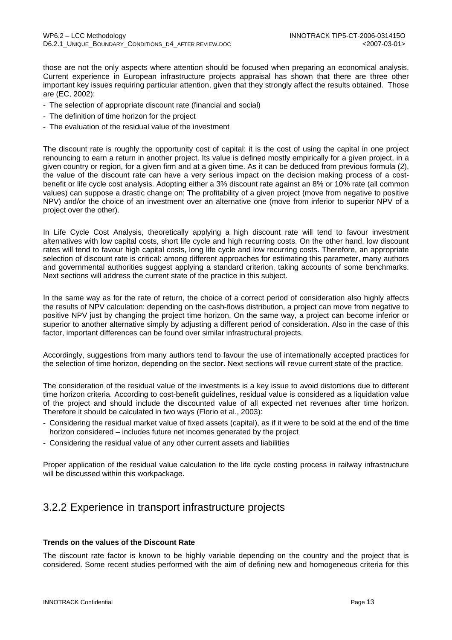those are not the only aspects where attention should be focused when preparing an economical analysis. Current experience in European infrastructure projects appraisal has shown that there are three other important key issues requiring particular attention, given that they strongly affect the results obtained. Those are (EC, 2002):

- The selection of appropriate discount rate (financial and social)
- The definition of time horizon for the project
- The evaluation of the residual value of the investment

The discount rate is roughly the opportunity cost of capital: it is the cost of using the capital in one project renouncing to earn a return in another project. Its value is defined mostly empirically for a given project, in a given country or region, for a given firm and at a given time. As it can be deduced from previous formula (2), the value of the discount rate can have a very serious impact on the decision making process of a costbenefit or life cycle cost analysis. Adopting either a 3% discount rate against an 8% or 10% rate (all common values) can suppose a drastic change on: The profitability of a given project (move from negative to positive NPV) and/or the choice of an investment over an alternative one (move from inferior to superior NPV of a project over the other).

In Life Cycle Cost Analysis, theoretically applying a high discount rate will tend to favour investment alternatives with low capital costs, short life cycle and high recurring costs. On the other hand, low discount rates will tend to favour high capital costs, long life cycle and low recurring costs. Therefore, an appropriate selection of discount rate is critical: among different approaches for estimating this parameter, many authors and governmental authorities suggest applying a standard criterion, taking accounts of some benchmarks. Next sections will address the current state of the practice in this subject.

In the same way as for the rate of return, the choice of a correct period of consideration also highly affects the results of NPV calculation: depending on the cash-flows distribution, a project can move from negative to positive NPV just by changing the project time horizon. On the same way, a project can become inferior or superior to another alternative simply by adjusting a different period of consideration. Also in the case of this factor, important differences can be found over similar infrastructural projects.

Accordingly, suggestions from many authors tend to favour the use of internationally accepted practices for the selection of time horizon, depending on the sector. Next sections will revue current state of the practice.

The consideration of the residual value of the investments is a key issue to avoid distortions due to different time horizon criteria. According to cost-benefit guidelines, residual value is considered as a liquidation value of the project and should include the discounted value of all expected net revenues after time horizon. Therefore it should be calculated in two ways (Florio et al., 2003):

- Considering the residual market value of fixed assets (capital), as if it were to be sold at the end of the time horizon considered – includes future net incomes generated by the project
- Considering the residual value of any other current assets and liabilities

Proper application of the residual value calculation to the life cycle costing process in railway infrastructure will be discussed within this workpackage.

#### 3.2.2 Experience in transport infrastructure projects

#### **Trends on the values of the Discount Rate**

The discount rate factor is known to be highly variable depending on the country and the project that is considered. Some recent studies performed with the aim of defining new and homogeneous criteria for this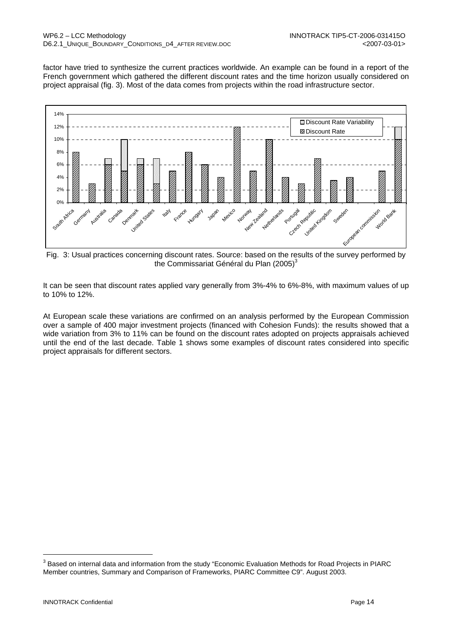factor have tried to synthesize the current practices worldwide. An example can be found in a report of the French government which gathered the different discount rates and the time horizon usually considered on project appraisal (fig. 3). Most of the data comes from projects within the road infrastructure sector.



Fig. 3: Usual practices concerning discount rates. Source: based on the results of the survey performed by the Commissariat Général du Plan (2005)<sup>3</sup>

It can be seen that discount rates applied vary generally from 3%-4% to 6%-8%, with maximum values of up to 10% to 12%.

At European scale these variations are confirmed on an analysis performed by the European Commission over a sample of 400 major investment projects (financed with Cohesion Funds): the results showed that a wide variation from 3% to 11% can be found on the discount rates adopted on projects appraisals achieved until the end of the last decade. Table 1 shows some examples of discount rates considered into specific project appraisals for different sectors.

 $^3$  Based on internal data and information from the study "Economic Evaluation Methods for Road Projects in PIARC Member countries, Summary and Comparison of Frameworks, PIARC Committee C9". August 2003.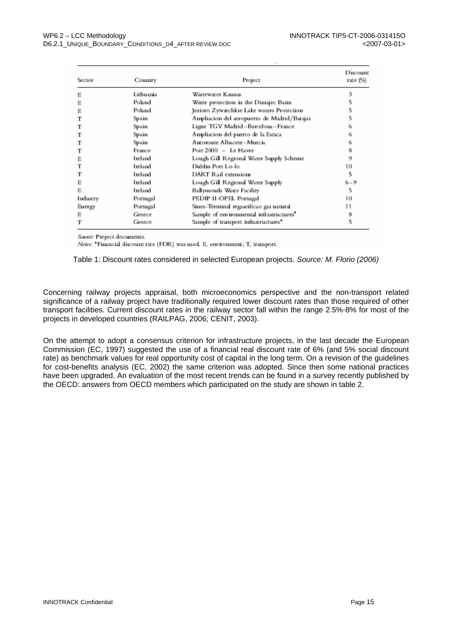| Sector   | Country   | Project                                     | Discount<br>rate (%) |
|----------|-----------|---------------------------------------------|----------------------|
| Ε        | Lithuania | Wastewater Kaunas                           | 3                    |
| Ε        | Poland    | Water protection in the Dunajec Basin       | 5                    |
| Ε        | Poland    | Jezioro Zywiechkie Lake waters Protection   | 5                    |
| т        | Spain     | Ampliacion del aeropuerto de Madrid/Barajas | 5                    |
| т        | Spain     | Ligne TGV Madrid–Barcelona–France           | 6                    |
| т        | Spain     | Ampliacion del puerto de la Estaca          | 6                    |
|          | Spain     | Autoroute Albacete-Murcia                   | 6                    |
| т        | France    | Port 2000 - Le Havre                        | 8                    |
| Ε        | Ireland   | Lough Gill Regional Water Supply Scheme     | 9                    |
|          | Ireland   | Dublin Port Lo-lo                           | 10                   |
| т        | Ireland   | DART Rail extensions                        | 5                    |
| Е        | Ireland   | Lough Gill Regional Water Supply            | $6 - 9$              |
| Е        | Ireland   | Ballymouth Waste Facility                   | 5                    |
| Industry | Portugal  | PEDIP II-OPEL Portugal                      | 10                   |
| Energy   | Portugal  | Sines-Terminal regaseificao gas natural     | 11                   |
| Е        | Greece    | Sample of environmental infrastructures"    | 8                    |
|          | Greece    | Sample of transport infrastructures*        | 5                    |

Source: Project documents.

 $Notes: \textbf{``Financial discount rate (FDR)}$  was used. E, environment; T, transport.

Table 1: Discount rates considered in selected European projects. *Source: M. Florio (2006)* 

Concerning railway projects appraisal, both microeconomics perspective and the non-transport related significance of a railway project have traditionally required lower discount rates than those required of other transport facilities. Current discount rates in the railway sector fall within the range 2.5%-8% for most of the projects in developed countries (RAILPAG, 2006; CENIT, 2003).

On the attempt to adopt a consensus criterion for infrastructure projects, in the last decade the European Commission (EC, 1997) suggested the use of a financial real discount rate of 6% (and 5% social discount rate) as benchmark values for real opportunity cost of capital in the long term. On a revision of the guidelines for cost-benefits analysis (EC, 2002) the same criterion was adopted. Since then some national practices have been upgraded. An evaluation of the most recent trends can be found in a survey recently published by the OECD: answers from OECD members which participated on the study are shown in table 2.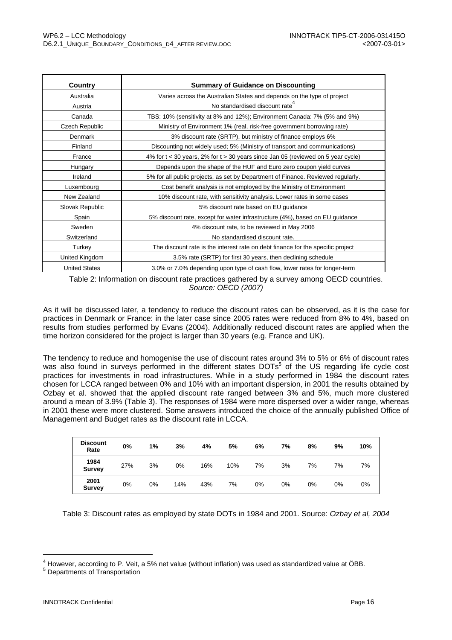| Country              | <b>Summary of Guidance on Discounting</b>                                        |
|----------------------|----------------------------------------------------------------------------------|
| Australia            | Varies across the Australian States and depends on the type of project           |
| Austria              | No standardised discount rate                                                    |
| Canada               | TBS: 10% (sensitivity at 8% and 12%); Environment Canada: 7% (5% and 9%)         |
| Czech Republic       | Ministry of Environment 1% (real, risk-free government borrowing rate)           |
| Denmark              | 3% discount rate (SRTP), but ministry of finance employs 6%                      |
| Finland              | Discounting not widely used; 5% (Ministry of transport and communications)       |
| France               | 4% for t < 30 years, 2% for t > 30 years since Jan 05 (reviewed on 5 year cycle) |
| Hungary              | Depends upon the shape of the HUF and Euro zero coupon yield curves              |
| Ireland              | 5% for all public projects, as set by Department of Finance. Reviewed regularly. |
| Luxembourg           | Cost benefit analysis is not employed by the Ministry of Environment             |
| New Zealand          | 10% discount rate, with sensitivity analysis. Lower rates in some cases          |
| Slovak Republic      | 5% discount rate based on EU guidance                                            |
| Spain                | 5% discount rate, except for water infrastructure (4%), based on EU guidance     |
| Sweden               | 4% discount rate, to be reviewed in May 2006                                     |
| Switzerland          | No standardised discount rate.                                                   |
| Turkey               | The discount rate is the interest rate on debt finance for the specific project  |
| United Kingdom       | 3.5% rate (SRTP) for first 30 years, then declining schedule                     |
| <b>United States</b> | 3.0% or 7.0% depending upon type of cash flow, lower rates for longer-term       |

Table 2: Information on discount rate practices gathered by a survey among OECD countries. *Source: OECD (2007)*

As it will be discussed later, a tendency to reduce the discount rates can be observed, as it is the case for practices in Denmark or France: in the later case since 2005 rates were reduced from 8% to 4%, based on results from studies performed by Evans (2004). Additionally reduced discount rates are applied when the time horizon considered for the project is larger than 30 years (e.g. France and UK).

The tendency to reduce and homogenise the use of discount rates around 3% to 5% or 6% of discount rates was also found in surveys performed in the different states DOTs<sup>5</sup> of the US regarding life cycle cost practices for investments in road infrastructures. While in a study performed in 1984 the discount rates chosen for LCCA ranged between 0% and 10% with an important dispersion, in 2001 the results obtained by Ozbay et al. showed that the applied discount rate ranged between 3% and 5%, much more clustered around a mean of 3.9% (Table 3). The responses of 1984 were more dispersed over a wider range, whereas in 2001 these were more clustered. Some answers introduced the choice of the annually published Office of Management and Budget rates as the discount rate in LCCA.

| <b>Discount</b><br>Rate | 0%    | 1% | 3%  | 4%  | 5%  | 6% | 7% | 8% | 9% | 10% |
|-------------------------|-------|----|-----|-----|-----|----|----|----|----|-----|
| 1984<br><b>Survey</b>   | 27%   | 3% | 0%  | 16% | 10% | 7% | 3% | 7% | 7% | 7%  |
| 2001<br><b>Survey</b>   | $0\%$ | 0% | 14% | 43% | 7%  | 0% | 0% | 0% | 0% | 0%  |

Table 3: Discount rates as employed by state DOTs in 1984 and 2001. Source: *Ozbay et al, 2004*

<sup>&</sup>lt;sup>4</sup> However, according to P. Veit, a 5% net value (without inflation) was used as standardized value at ÖBB.<br><sup>5</sup> Departmente of Transpertation

<sup>&</sup>lt;sup>5</sup> Departments of Transportation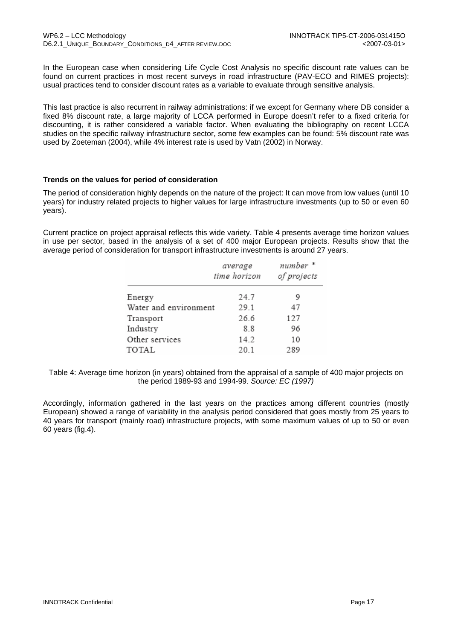In the European case when considering Life Cycle Cost Analysis no specific discount rate values can be found on current practices in most recent surveys in road infrastructure (PAV-ECO and RIMES projects): usual practices tend to consider discount rates as a variable to evaluate through sensitive analysis.

This last practice is also recurrent in railway administrations: if we except for Germany where DB consider a fixed 8% discount rate, a large majority of LCCA performed in Europe doesn't refer to a fixed criteria for discounting, it is rather considered a variable factor. When evaluating the bibliography on recent LCCA studies on the specific railway infrastructure sector, some few examples can be found: 5% discount rate was used by Zoeteman (2004), while 4% interest rate is used by Vatn (2002) in Norway.

#### **Trends on the values for period of consideration**

The period of consideration highly depends on the nature of the project: It can move from low values (until 10 years) for industry related projects to higher values for large infrastructure investments (up to 50 or even 60 years).

Current practice on project appraisal reflects this wide variety. Table 4 presents average time horizon values in use per sector, based in the analysis of a set of 400 major European projects. Results show that the average period of consideration for transport infrastructure investments is around 27 years.

|                       | average<br>time horizon | number *<br>of projects |
|-----------------------|-------------------------|-------------------------|
| Energy                | 24.7                    | 9                       |
| Water and environment | 29.1                    | 47                      |
| Transport             | 26.6                    | 127                     |
| Industry              | 8.8                     | 96                      |
| Other services        | 14.2                    | 10                      |
| TOTAL                 | 20.1                    | 289                     |

Table 4: Average time horizon (in years) obtained from the appraisal of a sample of 400 major projects on the period 1989-93 and 1994-99. *Source: EC (1997)*

Accordingly, information gathered in the last years on the practices among different countries (mostly European) showed a range of variability in the analysis period considered that goes mostly from 25 years to 40 years for transport (mainly road) infrastructure projects, with some maximum values of up to 50 or even 60 years (fig.4).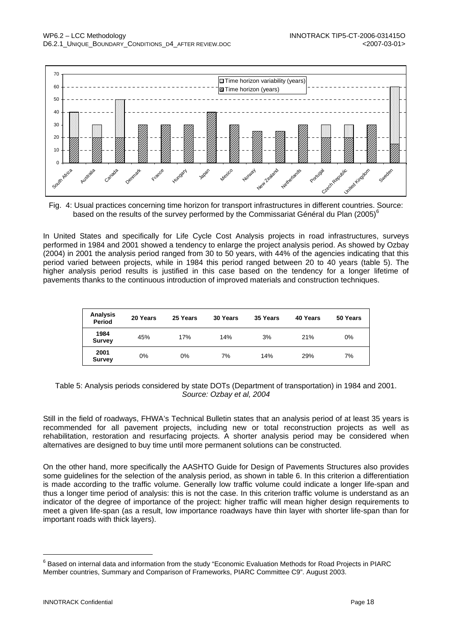

Fig. 4: Usual practices concerning time horizon for transport infrastructures in different countries. Source: based on the results of the survey performed by the Commissariat Général du Plan (2005)<sup>6</sup>

In United States and specifically for Life Cycle Cost Analysis projects in road infrastructures, surveys performed in 1984 and 2001 showed a tendency to enlarge the project analysis period. As showed by Ozbay (2004) in 2001 the analysis period ranged from 30 to 50 years, with 44% of the agencies indicating that this period varied between projects, while in 1984 this period ranged between 20 to 40 years (table 5). The higher analysis period results is justified in this case based on the tendency for a longer lifetime of pavements thanks to the continuous introduction of improved materials and construction techniques.

| Analysis<br>Period    | 20 Years | 25 Years | 30 Years | 35 Years | 40 Years | 50 Years |
|-----------------------|----------|----------|----------|----------|----------|----------|
| 1984<br><b>Survey</b> | 45%      | 17%      | 14%      | 3%       | 21%      | 0%       |
| 2001<br><b>Survey</b> | 0%       | 0%       | 7%       | 14%      | 29%      | 7%       |

Table 5: Analysis periods considered by state DOTs (Department of transportation) in 1984 and 2001. *Source: Ozbay et al, 2004*

Still in the field of roadways, FHWA's Technical Bulletin states that an analysis period of at least 35 years is recommended for all pavement projects, including new or total reconstruction projects as well as rehabilitation, restoration and resurfacing projects. A shorter analysis period may be considered when alternatives are designed to buy time until more permanent solutions can be constructed.

On the other hand, more specifically the AASHTO Guide for Design of Pavements Structures also provides some guidelines for the selection of the analysis period, as shown in table 6. In this criterion a differentiation is made according to the traffic volume. Generally low traffic volume could indicate a longer life-span and thus a longer time period of analysis: this is not the case. In this criterion traffic volume is understand as an indicator of the degree of importance of the project: higher traffic will mean higher design requirements to meet a given life-span (as a result, low importance roadways have thin layer with shorter life-span than for important roads with thick layers).

 $^6$  Based on internal data and information from the study "Economic Evaluation Methods for Road Projects in PIARC Member countries, Summary and Comparison of Frameworks, PIARC Committee C9". August 2003.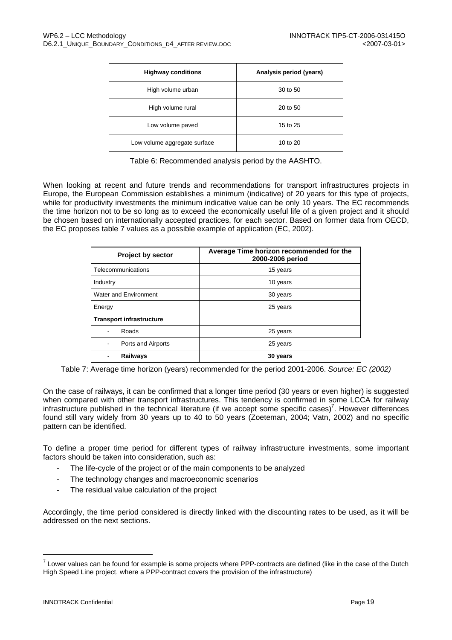| <b>Highway conditions</b>    | Analysis period (years) |
|------------------------------|-------------------------|
| High volume urban            | 30 to 50                |
| High volume rural            | 20 to 50                |
| Low volume paved             | 15 to 25                |
| Low volume aggregate surface | 10 to 20                |

Table 6: Recommended analysis period by the AASHTO.

When looking at recent and future trends and recommendations for transport infrastructures projects in Europe, the European Commission establishes a minimum (indicative) of 20 years for this type of projects, while for productivity investments the minimum indicative value can be only 10 years. The EC recommends the time horizon not to be so long as to exceed the economically useful life of a given project and it should be chosen based on internationally accepted practices, for each sector. Based on former data from OECD, the EC proposes table 7 values as a possible example of application (EC, 2002).

| <b>Project by sector</b>        | Average Time horizon recommended for the<br>2000-2006 period |  |
|---------------------------------|--------------------------------------------------------------|--|
| Telecommunications              | 15 years                                                     |  |
| Industry                        | 10 years                                                     |  |
| Water and Environment           | 30 years                                                     |  |
| Energy                          | 25 years                                                     |  |
| <b>Transport infrastructure</b> |                                                              |  |
| Roads                           | 25 years                                                     |  |
| Ports and Airports              | 25 years                                                     |  |
| <b>Railways</b>                 | 30 years                                                     |  |

Table 7: Average time horizon (years) recommended for the period 2001-2006. *Source: EC (2002)*

On the case of railways, it can be confirmed that a longer time period (30 years or even higher) is suggested when compared with other transport infrastructures. This tendency is confirmed in some LCCA for railway infrastructure published in the technical literature (if we accept some specific cases)<sup>7</sup>. However differences found still vary widely from 30 years up to 40 to 50 years (Zoeteman, 2004; Vatn, 2002) and no specific pattern can be identified.

To define a proper time period for different types of railway infrastructure investments, some important factors should be taken into consideration, such as:

- The life-cycle of the project or of the main components to be analyzed
- The technology changes and macroeconomic scenarios
- The residual value calculation of the project

Accordingly, the time period considered is directly linked with the discounting rates to be used, as it will be addressed on the next sections.

 $^7$  Lower values can be found for example is some projects where PPP-contracts are defined (like in the case of the Dutch High Speed Line project, where a PPP-contract covers the provision of the infrastructure)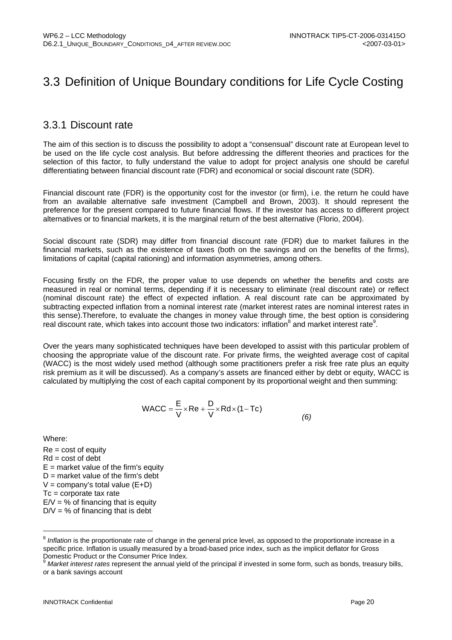## 3.3 Definition of Unique Boundary conditions for Life Cycle Costing

#### 3.3.1 Discount rate

The aim of this section is to discuss the possibility to adopt a "consensual" discount rate at European level to be used on the life cycle cost analysis. But before addressing the different theories and practices for the selection of this factor, to fully understand the value to adopt for project analysis one should be careful differentiating between financial discount rate (FDR) and economical or social discount rate (SDR).

Financial discount rate (FDR) is the opportunity cost for the investor (or firm), i.e. the return he could have from an available alternative safe investment (Campbell and Brown, 2003). It should represent the preference for the present compared to future financial flows. If the investor has access to different project alternatives or to financial markets, it is the marginal return of the best alternative (Florio, 2004).

Social discount rate (SDR) may differ from financial discount rate (FDR) due to market failures in the financial markets, such as the existence of taxes (both on the savings and on the benefits of the firms), limitations of capital (capital rationing) and information asymmetries, among others.

Focusing firstly on the FDR, the proper value to use depends on whether the benefits and costs are measured in real or nominal terms, depending if it is necessary to eliminate (real discount rate) or reflect (nominal discount rate) the effect of expected inflation. A real discount rate can be approximated by subtracting expected inflation from a nominal interest rate (market interest rates are nominal interest rates in this sense).Therefore, to evaluate the changes in money value through time, the best option is considering real discount rate, which takes into account those two indicators: inflation  $^8$  and market interest rate  $^9$ .

Over the years many sophisticated techniques have been developed to assist with this particular problem of choosing the appropriate value of the discount rate. For private firms, the weighted average cost of capital (WACC) is the most widely used method (although some practitioners prefer a risk free rate plus an equity risk premium as it will be discussed). As a company's assets are financed either by debt or equity, WACC is calculated by multiplying the cost of each capital component by its proportional weight and then summing:

WACC = 
$$
\frac{E}{V}
$$
×Re +  $\frac{D}{V}$ ×Rd×(1-Tc) (6)

Where:

l

 $Re = cost of equity$  $Rd = \text{cost of debt}$  $E$  = market value of the firm's equity  $D =$  market value of the firm's debt  $V =$  company's total value  $(E+D)$ Tc = corporate tax rate  $E/V = %$  of financing that is equity  $D/V = % of financing that is debt$ 

<sup>&</sup>lt;sup>8</sup> Inflation is the proportionate rate of change in the general price level, as opposed to the proportionate increase in a specific price. Inflation is usually measured by a broad-based price index, such as the implicit deflator for Gross Domestic Product or the Consumer Price Index.

<sup>9</sup> *Market interest rates* represent the annual yield of the principal if invested in some form, such as bonds, treasury bills, or a bank savings account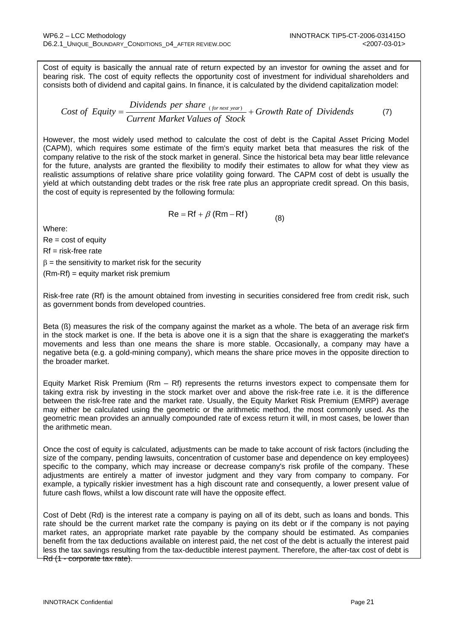Cost of equity is basically the annual rate of return expected by an investor for owning the asset and for bearing risk. The cost of equity reflects the opportunity cost of investment for individual shareholders and consists both of dividend and capital gains. In finance, it is calculated by the dividend capitalization model:

Cost of Equity = 
$$
\frac{Dividends \ per \ share_{(for next \ year)}}{Current \ Market \ Values \ of \ Stock} + Growth \ Rate \ of \ Dividends
$$
 (7)

However, the most widely used method to calculate the cost of debt is the Capital Asset Pricing Model (CAPM), which requires some estimate of the firm's equity market beta that measures the risk of the company relative to the risk of the stock market in general. Since the historical beta may bear little relevance for the future, analysts are granted the flexibility to modify their estimates to allow for what they view as realistic assumptions of relative share price volatility going forward. The CAPM cost of debt is usually the yield at which outstanding debt trades or the risk free rate plus an appropriate credit spread. On this basis, the cost of equity is represented by the following formula:

$$
Re = Rf + \beta (Rm - Rf)
$$
 (8)

Where:

 $Re = cost of equity$  $Rf$  = risk-free rate  $\beta$  = the sensitivity to market risk for the security (Rm-Rf) = equity market risk premium

Risk-free rate (Rf) is the amount obtained from investing in securities considered free from credit risk, such as government bonds from developed countries.

Beta (ß) measures the risk of the company against the market as a whole. The beta of an average risk firm in the stock market is one. If the beta is above one it is a sign that the share is exaggerating the market's movements and less than one means the share is more stable. Occasionally, a company may have a negative beta (e.g. a gold-mining company), which means the share price moves in the opposite direction to the broader market.

Equity Market Risk Premium (Rm – Rf) represents the returns investors expect to compensate them for taking extra risk by investing in the stock market over and above the risk-free rate i.e. it is the difference between the risk-free rate and the market rate. Usually, the Equity Market Risk Premium (EMRP) average may either be calculated using the geometric or the arithmetic method, the most commonly used. As the geometric mean provides an annually compounded rate of excess return it will, in most cases, be lower than the arithmetic mean.

Once the cost of equity is calculated, adjustments can be made to take account of risk factors (including the size of the company, pending lawsuits, concentration of customer base and dependence on key employees) specific to the company, which may increase or decrease company's risk profile of the company. These adjustments are entirely a matter of investor judgment and they vary from company to company. For example, a typically riskier investment has a high discount rate and consequently, a lower present value of future cash flows, whilst a low discount rate will have the opposite effect.

Cost of Debt (Rd) is the interest rate a company is paying on all of its debt, such as loans and bonds. This rate should be the current market rate the company is paying on its debt or if the company is not paying market rates, an appropriate market rate payable by the company should be estimated. As companies benefit from the tax deductions available on interest paid, the net cost of the debt is actually the interest paid less the tax savings resulting from the tax-deductible interest payment. Therefore, the after-tax cost of debt is Rd (1 - corporate tax rate).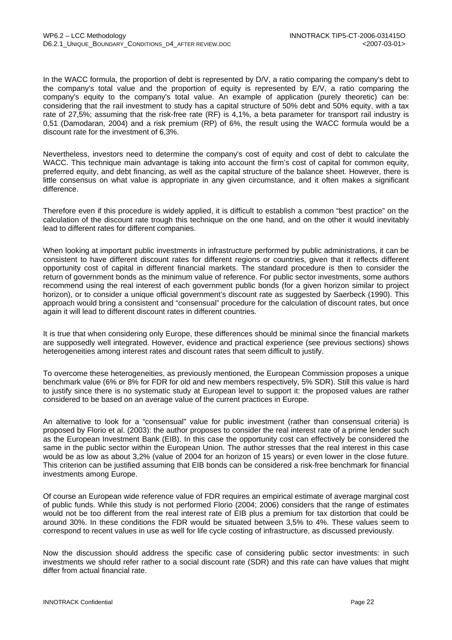In the WACC formula, the proportion of debt is represented by D/V, a ratio comparing the company's debt to the company's total value and the proportion of equity is represented by E/V, a ratio comparing the company's equity to the company's total value. An example of application (purely theoretic) can be: considering that the rail investment to study has a capital structure of 50% debt and 50% equity, with a tax rate of 27,5%; assuming that the risk-free rate (RF) is 4,1%, a beta parameter for transport rail industry is 0,51 (Damodaran, 2004) and a risk premium (RP) of 6%, the result using the WACC formula would be a discount rate for the investment of 6,3%.

Nevertheless, investors need to determine the company's cost of equity and cost of debt to calculate the WACC. This technique main advantage is taking into account the firm's cost of capital for common equity, preferred equity, and debt financing, as well as the capital structure of the balance sheet. However, there is little consensus on what value is appropriate in any given circumstance, and it often makes a significant difference.

Therefore even if this procedure is widely applied, it is difficult to establish a common "best practice" on the calculation of the discount rate trough this technique on the one hand, and on the other it would inevitably lead to different rates for different companies.

When looking at important public investments in infrastructure performed by public administrations, it can be consistent to have different discount rates for different regions or countries, given that it reflects different opportunity cost of capital in different financial markets. The standard procedure is then to consider the return of government bonds as the minimum value of reference. For public sector investments, some authors recommend using the real interest of each government public bonds (for a given horizon similar to project horizon), or to consider a unique official government's discount rate as suggested by Saerbeck (1990). This approach would bring a consistent and "consensual" procedure for the calculation of discount rates, but once again it will lead to different discount rates in different countries.

It is true that when considering only Europe, these differences should be minimal since the financial markets are supposedly well integrated. However, evidence and practical experience (see previous sections) shows heterogeneities among interest rates and discount rates that seem difficult to justify.

To overcome these heterogeneities, as previously mentioned, the European Commission proposes a unique benchmark value (6% or 8% for FDR for old and new members respectively, 5% SDR). Still this value is hard to justify since there is no systematic study at European level to support it: the proposed values are rather considered to be based on an average value of the current practices in Europe.

An alternative to look for a "consensual" value for public investment (rather than consensual criteria) is proposed by Florio et al. (2003): the author proposes to consider the real interest rate of a prime lender such as the European Investment Bank (EIB). In this case the opportunity cost can effectively be considered the same in the public sector within the European Union. The author stresses that the real interest in this case would be as low as about 3,2% (value of 2004 for an horizon of 15 years) or even lower in the close future. This criterion can be justified assuming that EIB bonds can be considered a risk-free benchmark for financial investments among Europe.

Of course an European wide reference value of FDR requires an empirical estimate of average marginal cost of public funds. While this study is not performed Florio (2004; 2006) considers that the range of estimates would not be too different from the real interest rate of EIB plus a premium for tax distortion that could be around 30%. In these conditions the FDR would be situated between 3,5% to 4%. These values seem to correspond to recent values in use as well for life cycle costing of infrastructure, as discussed previously.

Now the discussion should address the specific case of considering public sector investments: in such investments we should refer rather to a social discount rate (SDR) and this rate can have values that might differ from actual financial rate.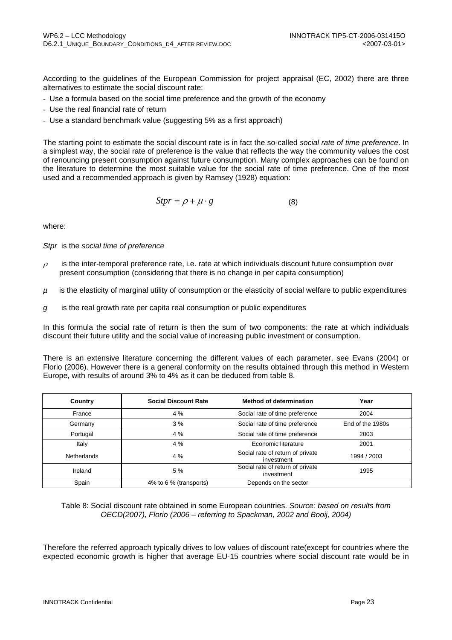According to the guidelines of the European Commission for project appraisal (EC, 2002) there are three alternatives to estimate the social discount rate:

- Use a formula based on the social time preference and the growth of the economy
- Use the real financial rate of return
- Use a standard benchmark value (suggesting 5% as a first approach)

The starting point to estimate the social discount rate is in fact the so-called *social rate of time preference*. In a simplest way, the social rate of preference is the value that reflects the way the community values the cost of renouncing present consumption against future consumption. Many complex approaches can be found on the literature to determine the most suitable value for the social rate of time preference. One of the most used and a recommended approach is given by Ramsey (1928) equation:

$$
Stpr = \rho + \mu \cdot g \tag{8}
$$

where:

*Stpr* is the *social time of preference* 

- $\rho$  is the inter-temporal preference rate, i.e. rate at which individuals discount future consumption over present consumption (considering that there is no change in per capita consumption)
- *µ* is the elasticity of marginal utility of consumption or the elasticity of social welfare to public expenditures
- *g* is the real growth rate per capita real consumption or public expenditures

In this formula the social rate of return is then the sum of two components: the rate at which individuals discount their future utility and the social value of increasing public investment or consumption.

There is an extensive literature concerning the different values of each parameter, see Evans (2004) or Florio (2006). However there is a general conformity on the results obtained through this method in Western Europe, with results of around 3% to 4% as it can be deduced from table 8.

| Country            | <b>Social Discount Rate</b> | <b>Method of determination</b>                 | Year             |
|--------------------|-----------------------------|------------------------------------------------|------------------|
| France             | 4%                          | Social rate of time preference                 | 2004             |
| Germany            | 3%                          | Social rate of time preference                 | End of the 1980s |
| Portugal           | 4 %                         | Social rate of time preference                 | 2003             |
| Italy              | 4 %                         | Economic literature                            | 2001             |
| <b>Netherlands</b> | 4 %                         | Social rate of return of private<br>investment | 1994 / 2003      |
| Ireland            | 5 %                         | Social rate of return of private<br>investment | 1995             |
| Spain              | 4% to 6 % (transports)      | Depends on the sector                          |                  |

Table 8: Social discount rate obtained in some European countries. *Source: based on results from OECD(2007), Florio (2006 – referring to Spackman, 2002 and Booij, 2004)*

Therefore the referred approach typically drives to low values of discount rate(except for countries where the expected economic growth is higher that average EU-15 countries where social discount rate would be in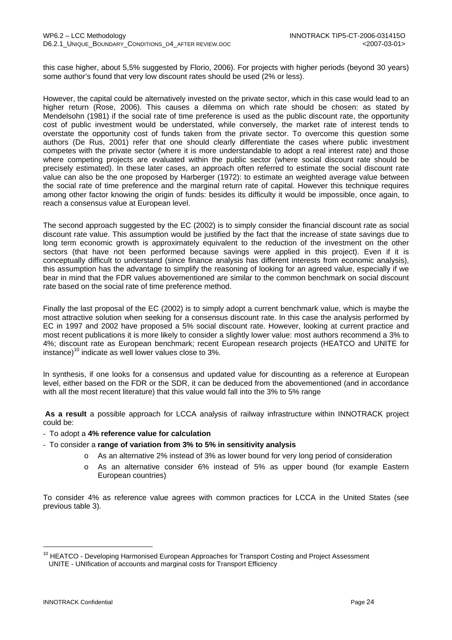this case higher, about 5,5% suggested by Florio, 2006). For projects with higher periods (beyond 30 years) some author's found that very low discount rates should be used (2% or less).

However, the capital could be alternatively invested on the private sector, which in this case would lead to an higher return (Rose, 2006). This causes a dilemma on which rate should be chosen: as stated by Mendelsohn (1981) if the social rate of time preference is used as the public discount rate, the opportunity cost of public investment would be understated, while conversely, the market rate of interest tends to overstate the opportunity cost of funds taken from the private sector. To overcome this question some authors (De Rus, 2001) refer that one should clearly differentiate the cases where public investment competes with the private sector (where it is more understandable to adopt a real interest rate) and those where competing projects are evaluated within the public sector (where social discount rate should be precisely estimated). In these later cases, an approach often referred to estimate the social discount rate value can also be the one proposed by Harberger (1972): to estimate an weighted average value between the social rate of time preference and the marginal return rate of capital. However this technique requires among other factor knowing the origin of funds: besides its difficulty it would be impossible, once again, to reach a consensus value at European level.

The second approach suggested by the EC (2002) is to simply consider the financial discount rate as social discount rate value. This assumption would be justified by the fact that the increase of state savings due to long term economic growth is approximately equivalent to the reduction of the investment on the other sectors (that have not been performed because savings were applied in this project). Even if it is conceptually difficult to understand (since finance analysis has different interests from economic analysis), this assumption has the advantage to simplify the reasoning of looking for an agreed value, especially if we bear in mind that the FDR values abovementioned are similar to the common benchmark on social discount rate based on the social rate of time preference method.

Finally the last proposal of the EC (2002) is to simply adopt a current benchmark value, which is maybe the most attractive solution when seeking for a consensus discount rate. In this case the analysis performed by EC in 1997 and 2002 have proposed a 5% social discount rate. However, looking at current practice and most recent publications it is more likely to consider a slightly lower value: most authors recommend a 3% to 4%; discount rate as European benchmark; recent European research projects (HEATCO and UNITE for instance)<sup>10</sup> indicate as well lower values close to  $3\%$ .

In synthesis, if one looks for a consensus and updated value for discounting as a reference at European level, either based on the FDR or the SDR, it can be deduced from the abovementioned (and in accordance with all the most recent literature) that this value would fall into the 3% to 5% range

**As a result** a possible approach for LCCA analysis of railway infrastructure within INNOTRACK project could be:

- To adopt a **4% reference value for calculation**
- To consider a **range of variation from 3% to 5% in sensitivity analysis**
	- o As an alternative 2% instead of 3% as lower bound for very long period of consideration
	- o As an alternative consider 6% instead of 5% as upper bound (for example Eastern European countries)

To consider 4% as reference value agrees with common practices for LCCA in the United States (see previous table 3).

<sup>&</sup>lt;sup>10</sup> HEATCO - Developing Harmonised European Approaches for Transport Costing and Project Assessment UNITE - UNIfication of accounts and marginal costs for Transport Efficiency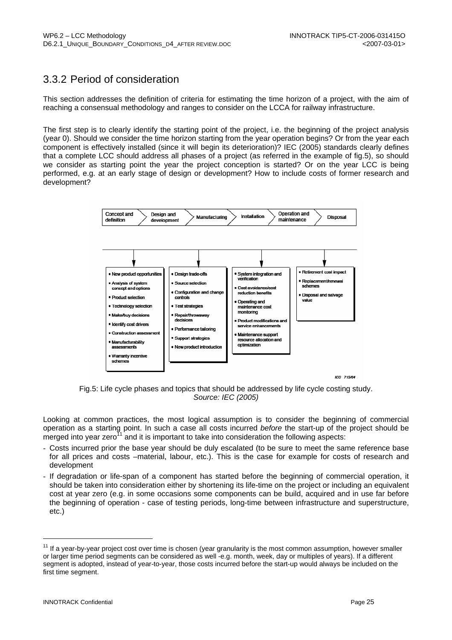### 3.3.2 Period of consideration

This section addresses the definition of criteria for estimating the time horizon of a project, with the aim of reaching a consensual methodology and ranges to consider on the LCCA for railway infrastructure.

The first step is to clearly identify the starting point of the project, i.e. the beginning of the project analysis (year 0). Should we consider the time horizon starting from the year operation begins? Or from the year each component is effectively installed (since it will begin its deterioration)? IEC (2005) standards clearly defines that a complete LCC should address all phases of a project (as referred in the example of fig.5), so should we consider as starting point the year the project conception is started? Or on the year LCC is being performed, e.g. at an early stage of design or development? How to include costs of former research and development?



Fig.5: Life cycle phases and topics that should be addressed by life cycle costing study. *Source: IEC (2005)*

Looking at common practices, the most logical assumption is to consider the beginning of commercial operation as a starting point. In such a case all costs incurred *before* the start-up of the project should be merged into year zero<sup>11</sup> and it is important to take into consideration the following aspects:

- Costs incurred prior the base year should be duly escalated (to be sure to meet the same reference base for all prices and costs –material, labour, etc.). This is the case for example for costs of research and development
- If degradation or life-span of a component has started before the beginning of commercial operation, it should be taken into consideration either by shortening its life-time on the project or including an equivalent cost at year zero (e.g. in some occasions some components can be build, acquired and in use far before the beginning of operation - case of testing periods, long-time between infrastructure and superstructure, etc.)

<sup>&</sup>lt;sup>11</sup> If a year-by-year project cost over time is chosen (year granularity is the most common assumption, however smaller or larger time period segments can be considered as well -e.g. month, week, day or multiples of years). If a different segment is adopted, instead of year-to-year, those costs incurred before the start-up would always be included on the first time segment.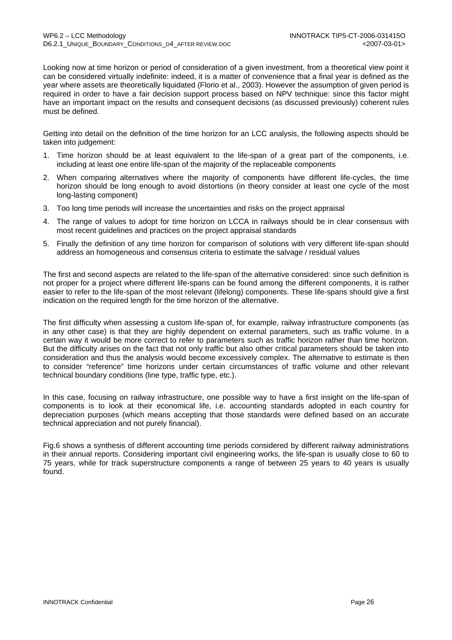Looking now at time horizon or period of consideration of a given investment, from a theoretical view point it can be considered virtually indefinite: indeed, it is a matter of convenience that a final year is defined as the year where assets are theoretically liquidated (Florio et al., 2003). However the assumption of given period is required in order to have a fair decision support process based on NPV technique: since this factor might have an important impact on the results and consequent decisions (as discussed previously) coherent rules must be defined.

Getting into detail on the definition of the time horizon for an LCC analysis, the following aspects should be taken into judgement:

- 1. Time horizon should be at least equivalent to the life-span of a great part of the components, i.e. including at least one entire life-span of the majority of the replaceable components
- 2. When comparing alternatives where the majority of components have different life-cycles, the time horizon should be long enough to avoid distortions (in theory consider at least one cycle of the most long-lasting component)
- 3. Too long time periods will increase the uncertainties and risks on the project appraisal
- 4. The range of values to adopt for time horizon on LCCA in railways should be in clear consensus with most recent guidelines and practices on the project appraisal standards
- 5. Finally the definition of any time horizon for comparison of solutions with very different life-span should address an homogeneous and consensus criteria to estimate the salvage / residual values

The first and second aspects are related to the life-span of the alternative considered: since such definition is not proper for a project where different life-spans can be found among the different components, it is rather easier to refer to the life-span of the most relevant (lifelong) components. These life-spans should give a first indication on the required length for the time horizon of the alternative.

The first difficulty when assessing a custom life-span of, for example, railway infrastructure components (as in any other case) is that they are highly dependent on external parameters, such as traffic volume. In a certain way it would be more correct to refer to parameters such as traffic horizon rather than time horizon. But the difficulty arises on the fact that not only traffic but also other critical parameters should be taken into consideration and thus the analysis would become excessively complex. The alternative to estimate is then to consider "reference" time horizons under certain circumstances of traffic volume and other relevant technical boundary conditions (line type, traffic type, etc.).

In this case, focusing on railway infrastructure, one possible way to have a first insight on the life-span of components is to look at their economical life, i.e. accounting standards adopted in each country for depreciation purposes (which means accepting that those standards were defined based on an accurate technical appreciation and not purely financial).

Fig.6 shows a synthesis of different accounting time periods considered by different railway administrations in their annual reports. Considering important civil engineering works, the life-span is usually close to 60 to 75 years, while for track superstructure components a range of between 25 years to 40 years is usually found.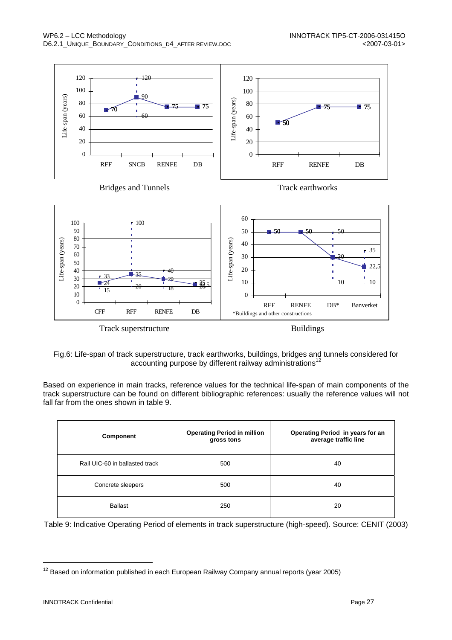

Fig.6: Life-span of track superstructure, track earthworks, buildings, bridges and tunnels considered for accounting purpose by different railway administrations<sup>12</sup>

Based on experience in main tracks, reference values for the technical life-span of main components of the track superstructure can be found on different bibliographic references: usually the reference values will not fall far from the ones shown in table 9.

| Component                      | <b>Operating Period in million</b><br>gross tons | Operating Period in years for an<br>average traffic line |
|--------------------------------|--------------------------------------------------|----------------------------------------------------------|
| Rail UIC-60 in ballasted track | 500                                              | 40                                                       |
| Concrete sleepers              | 500                                              | 40                                                       |
| <b>Ballast</b>                 | 250                                              | 20                                                       |

Table 9: Indicative Operating Period of elements in track superstructure (high-speed). Source: CENIT (2003)

 $12$  Based on information published in each European Railway Company annual reports (year 2005)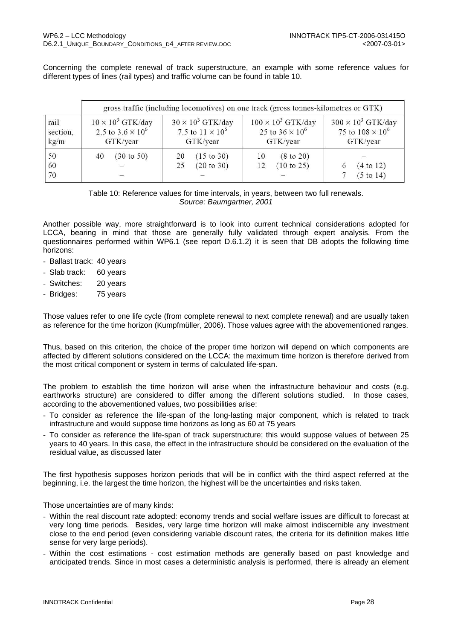Concerning the complete renewal of track superstructure, an example with some reference values for different types of lines (rail types) and traffic volume can be found in table 10.

|                          | gross traffic (including locomotives) on one track (gross tonnes-kilometres or GTK) |                                                                 |                                                                 |                                                                  |  |
|--------------------------|-------------------------------------------------------------------------------------|-----------------------------------------------------------------|-----------------------------------------------------------------|------------------------------------------------------------------|--|
| rail<br>section,<br>kg/m | $10 \times 10^3$ GTK/day<br>2.5 to $3.6 \times 10^6$<br>GTK/year                    | $30 \times 10^3$ GTK/day<br>7.5 to $11 \times 10^6$<br>GTK/year | $100 \times 10^3$ GTK/day<br>25 to $36 \times 10^6$<br>GTK/year | $300 \times 10^3$ GTK/day<br>75 to $108 \times 10^6$<br>GTK/year |  |
| 50<br>60<br>70           | $(30 \text{ to } 50)$<br>40                                                         | $(15 \text{ to } 30)$<br>20<br>(20 to 30)<br>25                 | $(8 \text{ to } 20)$<br>10<br>(10 to 25)<br>12                  | (4 to 12)<br>(5 to 14)                                           |  |

Table 10: Reference values for time intervals, in years, between two full renewals. *Source: Baumgartner, 2001*

Another possible way, more straightforward is to look into current technical considerations adopted for LCCA, bearing in mind that those are generally fully validated through expert analysis. From the questionnaires performed within WP6.1 (see report D.6.1.2) it is seen that DB adopts the following time horizons:

- Ballast track: 40 years
- Slab track: 60 years
- Switches: 20 years
- Bridges: 75 years

Those values refer to one life cycle (from complete renewal to next complete renewal) and are usually taken as reference for the time horizon (Kumpfmüller, 2006). Those values agree with the abovementioned ranges.

Thus, based on this criterion, the choice of the proper time horizon will depend on which components are affected by different solutions considered on the LCCA: the maximum time horizon is therefore derived from the most critical component or system in terms of calculated life-span.

The problem to establish the time horizon will arise when the infrastructure behaviour and costs (e.g. earthworks structure) are considered to differ among the different solutions studied. In those cases, according to the abovementioned values, two possibilities arise:

- To consider as reference the life-span of the long-lasting major component, which is related to track infrastructure and would suppose time horizons as long as 60 at 75 years
- To consider as reference the life-span of track superstructure; this would suppose values of between 25 years to 40 years. In this case, the effect in the infrastructure should be considered on the evaluation of the residual value, as discussed later

The first hypothesis supposes horizon periods that will be in conflict with the third aspect referred at the beginning, i.e. the largest the time horizon, the highest will be the uncertainties and risks taken.

Those uncertainties are of many kinds:

- Within the real discount rate adopted: economy trends and social welfare issues are difficult to forecast at very long time periods. Besides, very large time horizon will make almost indiscernible any investment close to the end period (even considering variable discount rates, the criteria for its definition makes little sense for very large periods).
- Within the cost estimations cost estimation methods are generally based on past knowledge and anticipated trends. Since in most cases a deterministic analysis is performed, there is already an element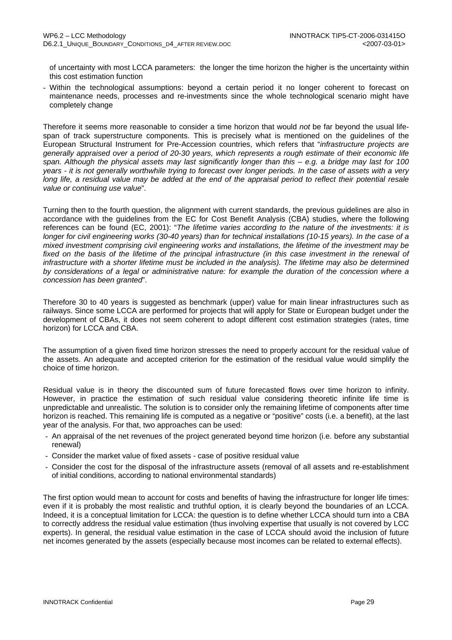of uncertainty with most LCCA parameters: the longer the time horizon the higher is the uncertainty within this cost estimation function

- Within the technological assumptions: beyond a certain period it no longer coherent to forecast on maintenance needs, processes and re-investments since the whole technological scenario might have completely change

Therefore it seems more reasonable to consider a time horizon that would *not* be far beyond the usual lifespan of track superstructure components. This is precisely what is mentioned on the guidelines of the European Structural Instrument for Pre-Accession countries, which refers that "*infrastructure projects are generally appraised over a period of 20-30 years, which represents a rough estimate of their economic life span. Although the physical assets may last significantly longer than this – e.g. a bridge may last for 100 years - it is not generally worthwhile trying to forecast over longer periods. In the case of assets with a very long life, a residual value may be added at the end of the appraisal period to reflect their potential resale value or continuing use value*".

Turning then to the fourth question, the alignment with current standards, the previous guidelines are also in accordance with the guidelines from the EC for Cost Benefit Analysis (CBA) studies, where the following references can be found (EC, 2001): "*The lifetime varies according to the nature of the investments: it is longer for civil engineering works (30-40 years) than for technical installations (10-15 years). In the case of a mixed investment comprising civil engineering works and installations, the lifetime of the investment may be*  fixed on the basis of the lifetime of the principal infrastructure (in this case investment in the renewal of *infrastructure with a shorter lifetime must be included in the analysis). The lifetime may also be determined by considerations of a legal or administrative nature: for example the duration of the concession where a concession has been granted*".

Therefore 30 to 40 years is suggested as benchmark (upper) value for main linear infrastructures such as railways. Since some LCCA are performed for projects that will apply for State or European budget under the development of CBAs, it does not seem coherent to adopt different cost estimation strategies (rates, time horizon) for LCCA and CBA.

The assumption of a given fixed time horizon stresses the need to properly account for the residual value of the assets. An adequate and accepted criterion for the estimation of the residual value would simplify the choice of time horizon.

Residual value is in theory the discounted sum of future forecasted flows over time horizon to infinity. However, in practice the estimation of such residual value considering theoretic infinite life time is unpredictable and unrealistic. The solution is to consider only the remaining lifetime of components after time horizon is reached. This remaining life is computed as a negative or "positive" costs (i.e. a benefit), at the last year of the analysis. For that, two approaches can be used:

- An appraisal of the net revenues of the project generated beyond time horizon (i.e. before any substantial renewal)
- Consider the market value of fixed assets case of positive residual value
- Consider the cost for the disposal of the infrastructure assets (removal of all assets and re-establishment of initial conditions, according to national environmental standards)

The first option would mean to account for costs and benefits of having the infrastructure for longer life times: even if it is probably the most realistic and truthful option, it is clearly beyond the boundaries of an LCCA. Indeed, it is a conceptual limitation for LCCA: the question is to define whether LCCA should turn into a CBA to correctly address the residual value estimation (thus involving expertise that usually is not covered by LCC experts). In general, the residual value estimation in the case of LCCA should avoid the inclusion of future net incomes generated by the assets (especially because most incomes can be related to external effects).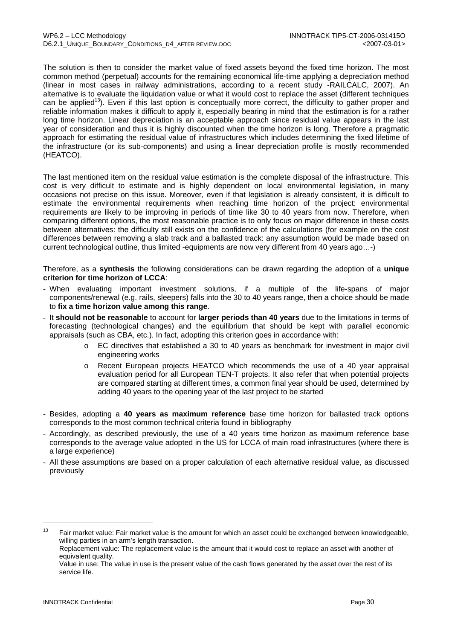The solution is then to consider the market value of fixed assets beyond the fixed time horizon. The most common method (perpetual) accounts for the remaining economical life-time applying a depreciation method (linear in most cases in railway administrations, according to a recent study -RAILCALC, 2007). An alternative is to evaluate the liquidation value or what it would cost to replace the asset (different techniques can be applied<sup>13</sup>). Even if this last option is conceptually more correct, the difficulty to gather proper and reliable information makes it difficult to apply it, especially bearing in mind that the estimation is for a rather long time horizon. Linear depreciation is an acceptable approach since residual value appears in the last year of consideration and thus it is highly discounted when the time horizon is long. Therefore a pragmatic approach for estimating the residual value of infrastructures which includes determining the fixed lifetime of the infrastructure (or its sub-components) and using a linear depreciation profile is mostly recommended (HEATCO).

The last mentioned item on the residual value estimation is the complete disposal of the infrastructure. This cost is very difficult to estimate and is highly dependent on local environmental legislation, in many occasions not precise on this issue. Moreover, even if that legislation is already consistent, it is difficult to estimate the environmental requirements when reaching time horizon of the project: environmental requirements are likely to be improving in periods of time like 30 to 40 years from now. Therefore, when comparing different options, the most reasonable practice is to only focus on major difference in these costs between alternatives: the difficulty still exists on the confidence of the calculations (for example on the cost differences between removing a slab track and a ballasted track: any assumption would be made based on current technological outline, thus limited -equipments are now very different from 40 years ago…-)

Therefore, as a **synthesis** the following considerations can be drawn regarding the adoption of a **unique criterion for time horizon of LCCA**:

- When evaluating important investment solutions, if a multiple of the life-spans of major components/renewal (e.g. rails, sleepers) falls into the 30 to 40 years range, then a choice should be made to **fix a time horizon value among this range**.
- It **should not be reasonable** to account for **larger periods than 40 years** due to the limitations in terms of forecasting (technological changes) and the equilibrium that should be kept with parallel economic appraisals (such as CBA, etc.). In fact, adopting this criterion goes in accordance with:
	- o EC directives that established a 30 to 40 years as benchmark for investment in major civil engineering works
	- o Recent European projects HEATCO which recommends the use of a 40 year appraisal evaluation period for all European TEN-T projects. It also refer that when potential projects are compared starting at different times, a common final year should be used, determined by adding 40 years to the opening year of the last project to be started
- Besides, adopting a **40 years as maximum reference** base time horizon for ballasted track options corresponds to the most common technical criteria found in bibliography
- Accordingly, as described previously, the use of a 40 years time horizon as maximum reference base corresponds to the average value adopted in the US for LCCA of main road infrastructures (where there is a large experience)
- All these assumptions are based on a proper calculation of each alternative residual value, as discussed previously

<sup>&</sup>lt;sup>13</sup> Fair market value: Fair market value is the amount for which an asset could be exchanged between knowledgeable, willing parties in an arm's length transaction.

Replacement value: The replacement value is the amount that it would cost to replace an asset with another of equivalent quality.

Value in use: The value in use is the present value of the cash flows generated by the asset over the rest of its service life.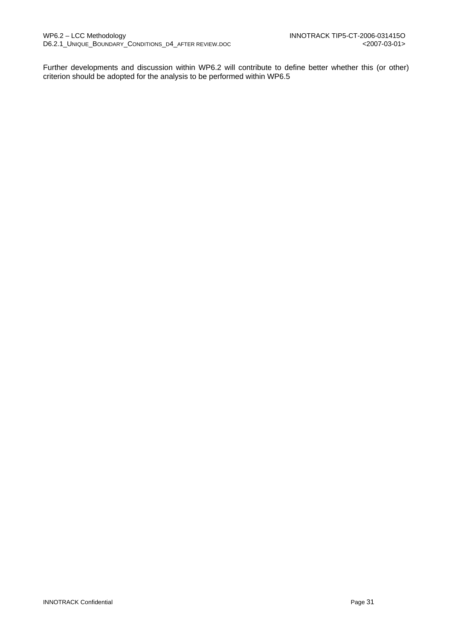Further developments and discussion within WP6.2 will contribute to define better whether this (or other) criterion should be adopted for the analysis to be performed within WP6.5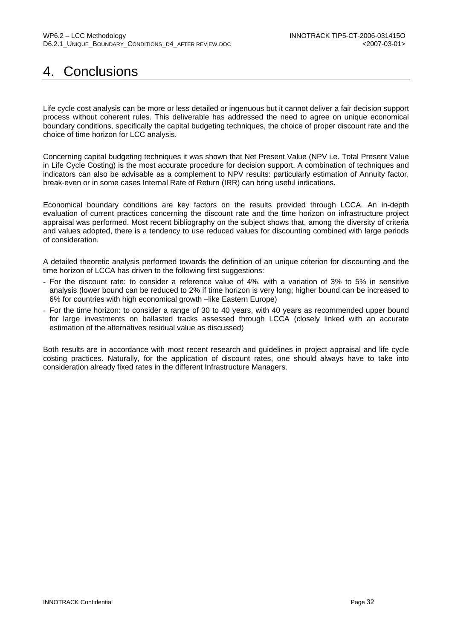# 4. Conclusions

Life cycle cost analysis can be more or less detailed or ingenuous but it cannot deliver a fair decision support process without coherent rules. This deliverable has addressed the need to agree on unique economical boundary conditions, specifically the capital budgeting techniques, the choice of proper discount rate and the choice of time horizon for LCC analysis.

Concerning capital budgeting techniques it was shown that Net Present Value (NPV i.e. Total Present Value in Life Cycle Costing) is the most accurate procedure for decision support. A combination of techniques and indicators can also be advisable as a complement to NPV results: particularly estimation of Annuity factor, break-even or in some cases Internal Rate of Return (IRR) can bring useful indications.

Economical boundary conditions are key factors on the results provided through LCCA. An in-depth evaluation of current practices concerning the discount rate and the time horizon on infrastructure project appraisal was performed. Most recent bibliography on the subject shows that, among the diversity of criteria and values adopted, there is a tendency to use reduced values for discounting combined with large periods of consideration.

A detailed theoretic analysis performed towards the definition of an unique criterion for discounting and the time horizon of LCCA has driven to the following first suggestions:

- For the discount rate: to consider a reference value of 4%, with a variation of 3% to 5% in sensitive analysis (lower bound can be reduced to 2% if time horizon is very long; higher bound can be increased to 6% for countries with high economical growth –like Eastern Europe)
- For the time horizon: to consider a range of 30 to 40 years, with 40 years as recommended upper bound for large investments on ballasted tracks assessed through LCCA (closely linked with an accurate estimation of the alternatives residual value as discussed)

Both results are in accordance with most recent research and guidelines in project appraisal and life cycle costing practices. Naturally, for the application of discount rates, one should always have to take into consideration already fixed rates in the different Infrastructure Managers.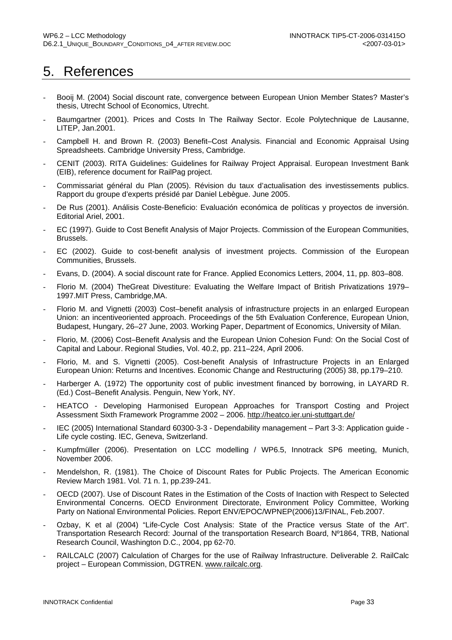# 5. References

- Booij M. (2004) Social discount rate, convergence between European Union Member States? Master's thesis, Utrecht School of Economics, Utrecht.
- Baumgartner (2001). Prices and Costs In The Railway Sector. Ecole Polytechnique de Lausanne, LITEP, Jan.2001.
- Campbell H. and Brown R. (2003) Benefit–Cost Analysis. Financial and Economic Appraisal Using Spreadsheets. Cambridge University Press, Cambridge.
- CENIT (2003). RITA Guidelines: Guidelines for Railway Project Appraisal. European Investment Bank (EIB), reference document for RailPag project.
- Commissariat général du Plan (2005). Révision du taux d'actualisation des investissements publics. Rapport du groupe d'experts présidé par Daniel Lebègue. June 2005.
- De Rus (2001). Análisis Coste-Beneficio: Evaluación económica de políticas y proyectos de inversión. Editorial Ariel, 2001.
- EC (1997). Guide to Cost Benefit Analysis of Major Projects. Commission of the European Communities, Brussels.
- EC (2002). Guide to cost-benefit analysis of investment projects. Commission of the European Communities, Brussels.
- Evans, D. (2004). A social discount rate for France. Applied Economics Letters, 2004, 11, pp. 803–808.
- Florio M. (2004) TheGreat Divestiture: Evaluating the Welfare Impact of British Privatizations 1979– 1997.MIT Press, Cambridge,MA.
- Florio M. and Vignetti (2003) Cost–benefit analysis of infrastructure projects in an enlarged European Union: an incentiveoriented approach. Proceedings of the 5th Evaluation Conference, European Union, Budapest, Hungary, 26–27 June, 2003. Working Paper, Department of Economics, University of Milan.
- Florio, M. (2006) Cost-Benefit Analysis and the European Union Cohesion Fund: On the Social Cost of Capital and Labour. Regional Studies, Vol. 40.2, pp. 211–224, April 2006.
- Florio, M. and S. Vignetti (2005). Cost-benefit Analysis of Infrastructure Projects in an Enlarged European Union: Returns and Incentives. Economic Change and Restructuring (2005) 38, pp.179–210.
- Harberger A. (1972) The opportunity cost of public investment financed by borrowing, in LAYARD R. (Ed.) Cost–Benefit Analysis. Penguin, New York, NY.
- HEATCO Developing Harmonised European Approaches for Transport Costing and Project Assessment Sixth Framework Programme 2002 – 2006. http://heatco.ier.uni-stuttgart.de/
- IEC (2005) International Standard 60300-3-3 Dependability management Part 3-3: Application guide Life cycle costing. IEC, Geneva, Switzerland.
- Kumpfmüller (2006). Presentation on LCC modelling / WP6.5, Innotrack SP6 meeting, Munich, November 2006.
- Mendelshon, R. (1981). The Choice of Discount Rates for Public Projects. The American Economic Review March 1981. Vol. 71 n. 1, pp.239-241.
- OECD (2007). Use of Discount Rates in the Estimation of the Costs of Inaction with Respect to Selected Environmental Concerns. OECD Environment Directorate, Environment Policy Committee, Working Party on National Environmental Policies. Report ENV/EPOC/WPNEP(2006)13/FINAL, Feb.2007.
- Ozbay, K et al (2004) "Life-Cycle Cost Analysis: State of the Practice versus State of the Art". Transportation Research Record: Journal of the transportation Research Board, Nº1864, TRB, National Research Council, Washington D.C., 2004, pp 62-70.
- RAILCALC (2007) Calculation of Charges for the use of Railway Infrastructure. Deliverable 2. RailCalc project – European Commission, DGTREN. www.railcalc.org.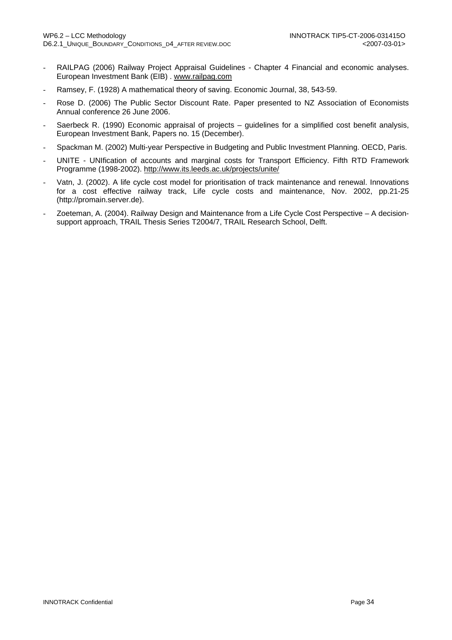- RAILPAG (2006) Railway Project Appraisal Guidelines Chapter 4 Financial and economic analyses. European Investment Bank (EIB) . www.railpag.com
- Ramsey, F. (1928) A mathematical theory of saving. Economic Journal, 38, 543-59.
- Rose D. (2006) The Public Sector Discount Rate. Paper presented to NZ Association of Economists Annual conference 26 June 2006.
- Saerbeck R. (1990) Economic appraisal of projects guidelines for a simplified cost benefit analysis, European Investment Bank, Papers no. 15 (December).
- Spackman M. (2002) Multi-year Perspective in Budgeting and Public Investment Planning. OECD, Paris.
- UNITE UNIfication of accounts and marginal costs for Transport Efficiency. Fifth RTD Framework Programme (1998-2002). http://www.its.leeds.ac.uk/projects/unite/
- Vatn, J. (2002). A life cycle cost model for prioritisation of track maintenance and renewal. Innovations for a cost effective railway track, Life cycle costs and maintenance, Nov. 2002, pp.21-25 (http://promain.server.de).
- Zoeteman, A. (2004). Railway Design and Maintenance from a Life Cycle Cost Perspective A decisionsupport approach, TRAIL Thesis Series T2004/7, TRAIL Research School, Delft.